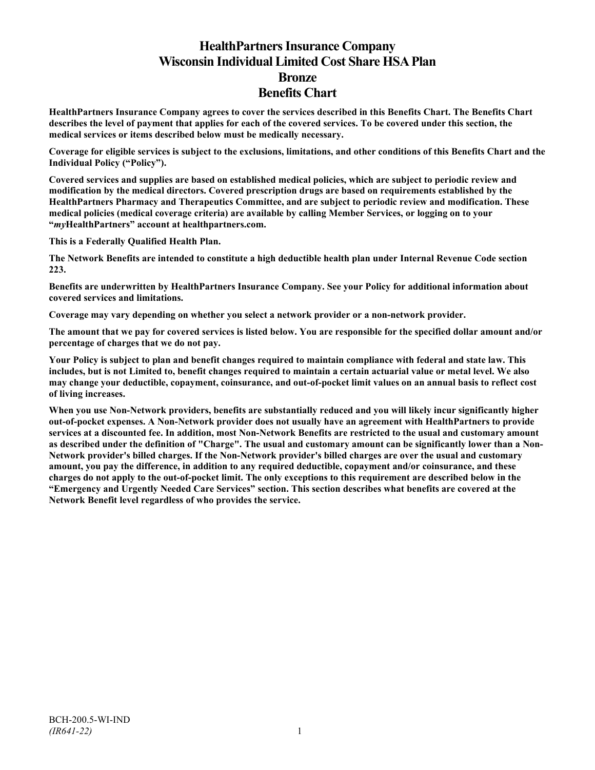# **HealthPartners Insurance Company Wisconsin Individual Limited Cost Share HSA Plan Bronze Benefits Chart**

**HealthPartners Insurance Company agrees to cover the services described in this Benefits Chart. The Benefits Chart describes the level of payment that applies for each of the covered services. To be covered under this section, the medical services or items described below must be medically necessary.**

**Coverage for eligible services is subject to the exclusions, limitations, and other conditions of this Benefits Chart and the Individual Policy ("Policy").**

**Covered services and supplies are based on established medical policies, which are subject to periodic review and modification by the medical directors. Covered prescription drugs are based on requirements established by the HealthPartners Pharmacy and Therapeutics Committee, and are subject to periodic review and modification. These medical policies (medical coverage criteria) are available by calling Member Services, or logging on to your "***my***HealthPartners" account at [healthpartners.com.](http://www.healthpartners.com/)**

**This is a Federally Qualified Health Plan.**

**The Network Benefits are intended to constitute a high deductible health plan under Internal Revenue Code section 223.**

**Benefits are underwritten by HealthPartners Insurance Company. See your Policy for additional information about covered services and limitations.**

**Coverage may vary depending on whether you select a network provider or a non-network provider.**

**The amount that we pay for covered services is listed below. You are responsible for the specified dollar amount and/or percentage of charges that we do not pay.**

**Your Policy is subject to plan and benefit changes required to maintain compliance with federal and state law. This includes, but is not Limited to, benefit changes required to maintain a certain actuarial value or metal level. We also may change your deductible, copayment, coinsurance, and out-of-pocket limit values on an annual basis to reflect cost of living increases.**

**When you use Non-Network providers, benefits are substantially reduced and you will likely incur significantly higher out-of-pocket expenses. A Non-Network provider does not usually have an agreement with HealthPartners to provide services at a discounted fee. In addition, most Non-Network Benefits are restricted to the usual and customary amount as described under the definition of "Charge". The usual and customary amount can be significantly lower than a Non-Network provider's billed charges. If the Non-Network provider's billed charges are over the usual and customary amount, you pay the difference, in addition to any required deductible, copayment and/or coinsurance, and these charges do not apply to the out-of-pocket limit. The only exceptions to this requirement are described below in the "Emergency and Urgently Needed Care Services" section. This section describes what benefits are covered at the Network Benefit level regardless of who provides the service.**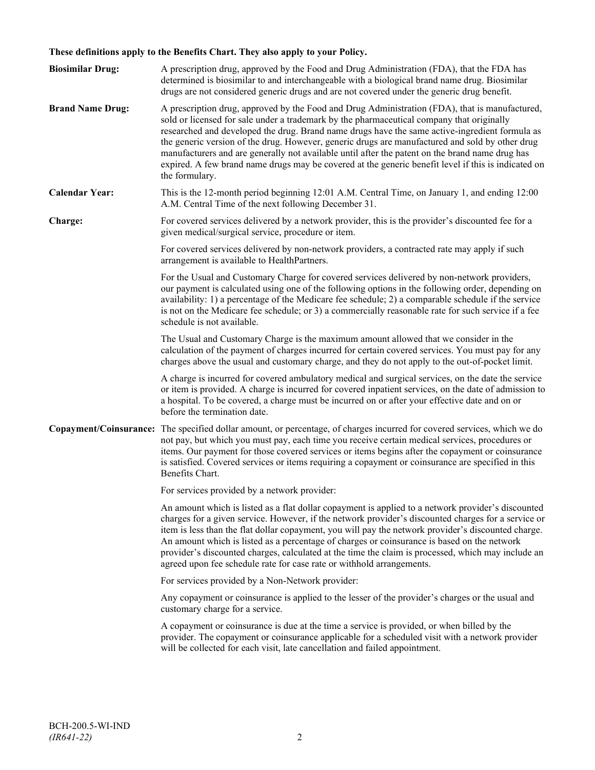## **These definitions apply to the Benefits Chart. They also apply to your Policy.**

| <b>Biosimilar Drug:</b> | A prescription drug, approved by the Food and Drug Administration (FDA), that the FDA has<br>determined is biosimilar to and interchangeable with a biological brand name drug. Biosimilar<br>drugs are not considered generic drugs and are not covered under the generic drug benefit.                                                                                                                                                                                                                                                                                                                                     |
|-------------------------|------------------------------------------------------------------------------------------------------------------------------------------------------------------------------------------------------------------------------------------------------------------------------------------------------------------------------------------------------------------------------------------------------------------------------------------------------------------------------------------------------------------------------------------------------------------------------------------------------------------------------|
| <b>Brand Name Drug:</b> | A prescription drug, approved by the Food and Drug Administration (FDA), that is manufactured,<br>sold or licensed for sale under a trademark by the pharmaceutical company that originally<br>researched and developed the drug. Brand name drugs have the same active-ingredient formula as<br>the generic version of the drug. However, generic drugs are manufactured and sold by other drug<br>manufacturers and are generally not available until after the patent on the brand name drug has<br>expired. A few brand name drugs may be covered at the generic benefit level if this is indicated on<br>the formulary. |
| <b>Calendar Year:</b>   | This is the 12-month period beginning 12:01 A.M. Central Time, on January 1, and ending 12:00<br>A.M. Central Time of the next following December 31.                                                                                                                                                                                                                                                                                                                                                                                                                                                                        |
| Charge:                 | For covered services delivered by a network provider, this is the provider's discounted fee for a<br>given medical/surgical service, procedure or item.                                                                                                                                                                                                                                                                                                                                                                                                                                                                      |
|                         | For covered services delivered by non-network providers, a contracted rate may apply if such<br>arrangement is available to HealthPartners.                                                                                                                                                                                                                                                                                                                                                                                                                                                                                  |
|                         | For the Usual and Customary Charge for covered services delivered by non-network providers,<br>our payment is calculated using one of the following options in the following order, depending on<br>availability: 1) a percentage of the Medicare fee schedule; 2) a comparable schedule if the service<br>is not on the Medicare fee schedule; or 3) a commercially reasonable rate for such service if a fee<br>schedule is not available.                                                                                                                                                                                 |
|                         | The Usual and Customary Charge is the maximum amount allowed that we consider in the<br>calculation of the payment of charges incurred for certain covered services. You must pay for any<br>charges above the usual and customary charge, and they do not apply to the out-of-pocket limit.                                                                                                                                                                                                                                                                                                                                 |
|                         | A charge is incurred for covered ambulatory medical and surgical services, on the date the service<br>or item is provided. A charge is incurred for covered inpatient services, on the date of admission to<br>a hospital. To be covered, a charge must be incurred on or after your effective date and on or<br>before the termination date.                                                                                                                                                                                                                                                                                |
|                         | Copayment/Coinsurance: The specified dollar amount, or percentage, of charges incurred for covered services, which we do<br>not pay, but which you must pay, each time you receive certain medical services, procedures or<br>items. Our payment for those covered services or items begins after the copayment or coinsurance<br>is satisfied. Covered services or items requiring a copayment or coinsurance are specified in this<br>Benefits Chart.                                                                                                                                                                      |
|                         | For services provided by a network provider:                                                                                                                                                                                                                                                                                                                                                                                                                                                                                                                                                                                 |
|                         | An amount which is listed as a flat dollar copayment is applied to a network provider's discounted<br>charges for a given service. However, if the network provider's discounted charges for a service or<br>item is less than the flat dollar copayment, you will pay the network provider's discounted charge.<br>An amount which is listed as a percentage of charges or coinsurance is based on the network<br>provider's discounted charges, calculated at the time the claim is processed, which may include an<br>agreed upon fee schedule rate for case rate or withhold arrangements.                               |
|                         | For services provided by a Non-Network provider:                                                                                                                                                                                                                                                                                                                                                                                                                                                                                                                                                                             |
|                         | Any copayment or coinsurance is applied to the lesser of the provider's charges or the usual and<br>customary charge for a service.                                                                                                                                                                                                                                                                                                                                                                                                                                                                                          |
|                         | A copayment or coinsurance is due at the time a service is provided, or when billed by the<br>provider. The copayment or coinsurance applicable for a scheduled visit with a network provider<br>will be collected for each visit, late cancellation and failed appointment.                                                                                                                                                                                                                                                                                                                                                 |
|                         |                                                                                                                                                                                                                                                                                                                                                                                                                                                                                                                                                                                                                              |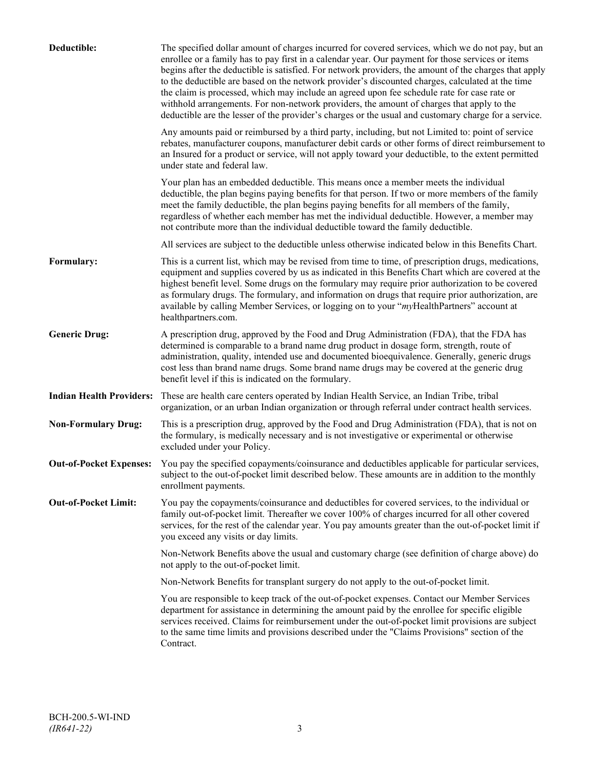| Deductible:                     | The specified dollar amount of charges incurred for covered services, which we do not pay, but an<br>enrollee or a family has to pay first in a calendar year. Our payment for those services or items<br>begins after the deductible is satisfied. For network providers, the amount of the charges that apply<br>to the deductible are based on the network provider's discounted charges, calculated at the time<br>the claim is processed, which may include an agreed upon fee schedule rate for case rate or<br>withhold arrangements. For non-network providers, the amount of charges that apply to the<br>deductible are the lesser of the provider's charges or the usual and customary charge for a service. |
|---------------------------------|-------------------------------------------------------------------------------------------------------------------------------------------------------------------------------------------------------------------------------------------------------------------------------------------------------------------------------------------------------------------------------------------------------------------------------------------------------------------------------------------------------------------------------------------------------------------------------------------------------------------------------------------------------------------------------------------------------------------------|
|                                 | Any amounts paid or reimbursed by a third party, including, but not Limited to: point of service<br>rebates, manufacturer coupons, manufacturer debit cards or other forms of direct reimbursement to<br>an Insured for a product or service, will not apply toward your deductible, to the extent permitted<br>under state and federal law.                                                                                                                                                                                                                                                                                                                                                                            |
|                                 | Your plan has an embedded deductible. This means once a member meets the individual<br>deductible, the plan begins paying benefits for that person. If two or more members of the family<br>meet the family deductible, the plan begins paying benefits for all members of the family,<br>regardless of whether each member has met the individual deductible. However, a member may<br>not contribute more than the individual deductible toward the family deductible.                                                                                                                                                                                                                                                |
|                                 | All services are subject to the deductible unless otherwise indicated below in this Benefits Chart.                                                                                                                                                                                                                                                                                                                                                                                                                                                                                                                                                                                                                     |
| Formulary:                      | This is a current list, which may be revised from time to time, of prescription drugs, medications,<br>equipment and supplies covered by us as indicated in this Benefits Chart which are covered at the<br>highest benefit level. Some drugs on the formulary may require prior authorization to be covered<br>as formulary drugs. The formulary, and information on drugs that require prior authorization, are<br>available by calling Member Services, or logging on to your "myHealthPartners" account at<br>healthpartners.com.                                                                                                                                                                                   |
| <b>Generic Drug:</b>            | A prescription drug, approved by the Food and Drug Administration (FDA), that the FDA has<br>determined is comparable to a brand name drug product in dosage form, strength, route of<br>administration, quality, intended use and documented bioequivalence. Generally, generic drugs<br>cost less than brand name drugs. Some brand name drugs may be covered at the generic drug<br>benefit level if this is indicated on the formulary.                                                                                                                                                                                                                                                                             |
| <b>Indian Health Providers:</b> | These are health care centers operated by Indian Health Service, an Indian Tribe, tribal<br>organization, or an urban Indian organization or through referral under contract health services.                                                                                                                                                                                                                                                                                                                                                                                                                                                                                                                           |
| <b>Non-Formulary Drug:</b>      | This is a prescription drug, approved by the Food and Drug Administration (FDA), that is not on<br>the formulary, is medically necessary and is not investigative or experimental or otherwise<br>excluded under your Policy.                                                                                                                                                                                                                                                                                                                                                                                                                                                                                           |
| <b>Out-of-Pocket Expenses:</b>  | You pay the specified copayments/coinsurance and deductibles applicable for particular services,<br>subject to the out-of-pocket limit described below. These amounts are in addition to the monthly<br>enrollment payments.                                                                                                                                                                                                                                                                                                                                                                                                                                                                                            |
| <b>Out-of-Pocket Limit:</b>     | You pay the copayments/coinsurance and deductibles for covered services, to the individual or<br>family out-of-pocket limit. Thereafter we cover 100% of charges incurred for all other covered<br>services, for the rest of the calendar year. You pay amounts greater than the out-of-pocket limit if<br>you exceed any visits or day limits.                                                                                                                                                                                                                                                                                                                                                                         |
|                                 | Non-Network Benefits above the usual and customary charge (see definition of charge above) do<br>not apply to the out-of-pocket limit.                                                                                                                                                                                                                                                                                                                                                                                                                                                                                                                                                                                  |
|                                 | Non-Network Benefits for transplant surgery do not apply to the out-of-pocket limit.                                                                                                                                                                                                                                                                                                                                                                                                                                                                                                                                                                                                                                    |
|                                 | You are responsible to keep track of the out-of-pocket expenses. Contact our Member Services<br>department for assistance in determining the amount paid by the enrollee for specific eligible<br>services received. Claims for reimbursement under the out-of-pocket limit provisions are subject<br>to the same time limits and provisions described under the "Claims Provisions" section of the<br>Contract.                                                                                                                                                                                                                                                                                                        |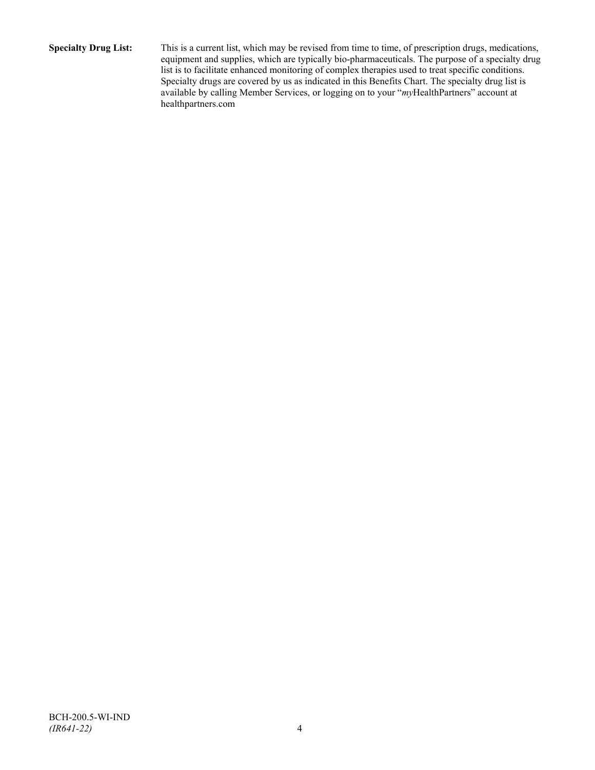**Specialty Drug List:** This is a current list, which may be revised from time to time, of prescription drugs, medications, equipment and supplies, which are typically bio-pharmaceuticals. The purpose of a specialty drug list is to facilitate enhanced monitoring of complex therapies used to treat specific conditions. Specialty drugs are covered by us as indicated in this Benefits Chart. The specialty drug list is available by calling Member Services, or logging on to your "*my*HealthPartners" account at [healthpartners.com](http://www.healthpartners.com/)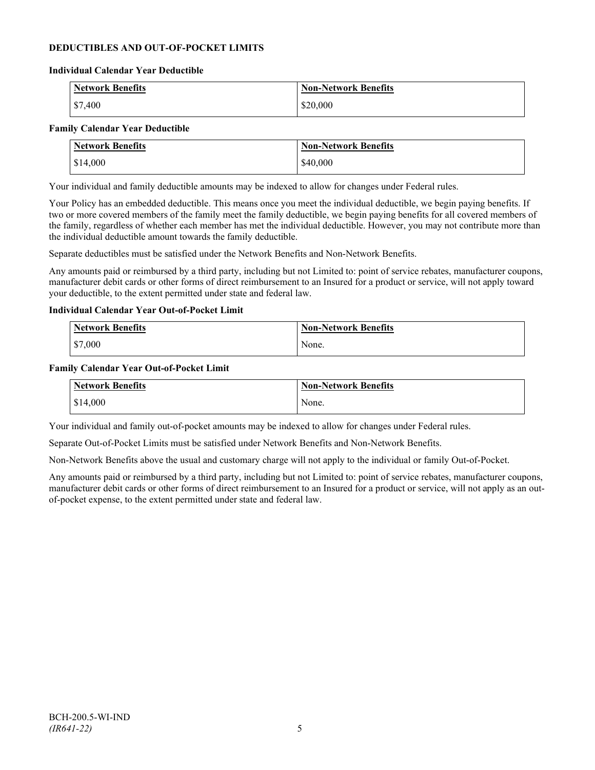## **DEDUCTIBLES AND OUT-OF-POCKET LIMITS**

#### **Individual Calendar Year Deductible**

| <b>Network Benefits</b> | <b>Non-Network Benefits</b> |
|-------------------------|-----------------------------|
| $\frac{$7,400}{}$       | \$20,000                    |

#### **Family Calendar Year Deductible**

| <b>Network Benefits</b> | <b>Non-Network Benefits</b> |
|-------------------------|-----------------------------|
| \$14,000                | \$40,000                    |

Your individual and family deductible amounts may be indexed to allow for changes under Federal rules.

Your Policy has an embedded deductible. This means once you meet the individual deductible, we begin paying benefits. If two or more covered members of the family meet the family deductible, we begin paying benefits for all covered members of the family, regardless of whether each member has met the individual deductible. However, you may not contribute more than the individual deductible amount towards the family deductible.

Separate deductibles must be satisfied under the Network Benefits and Non-Network Benefits.

Any amounts paid or reimbursed by a third party, including but not Limited to: point of service rebates, manufacturer coupons, manufacturer debit cards or other forms of direct reimbursement to an Insured for a product or service, will not apply toward your deductible, to the extent permitted under state and federal law.

#### **Individual Calendar Year Out-of-Pocket Limit**

| <b>Network Benefits</b> | <b>Non-Network Benefits</b> |
|-------------------------|-----------------------------|
| \$7,000                 | None.                       |

#### **Family Calendar Year Out-of-Pocket Limit**

| Network Benefits | <b>Non-Network Benefits</b> |
|------------------|-----------------------------|
| \$14,000         | None.                       |

Your individual and family out-of-pocket amounts may be indexed to allow for changes under Federal rules.

Separate Out-of-Pocket Limits must be satisfied under Network Benefits and Non-Network Benefits.

Non-Network Benefits above the usual and customary charge will not apply to the individual or family Out-of-Pocket.

Any amounts paid or reimbursed by a third party, including but not Limited to: point of service rebates, manufacturer coupons, manufacturer debit cards or other forms of direct reimbursement to an Insured for a product or service, will not apply as an outof-pocket expense, to the extent permitted under state and federal law.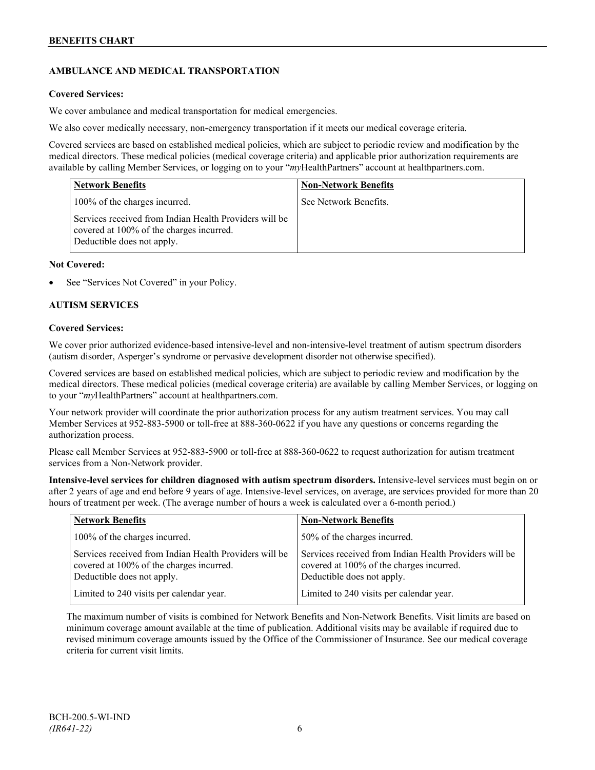## **AMBULANCE AND MEDICAL TRANSPORTATION**

## **Covered Services:**

We cover ambulance and medical transportation for medical emergencies.

We also cover medically necessary, non-emergency transportation if it meets our medical coverage criteria.

Covered services are based on established medical policies, which are subject to periodic review and modification by the medical directors. These medical policies (medical coverage criteria) and applicable prior authorization requirements are available by calling Member Services, or logging on to your "*my*HealthPartners" account a[t healthpartners.com.](http://www.healthpartners.com/)

| <b>Network Benefits</b>                                                                                                          | <b>Non-Network Benefits</b> |
|----------------------------------------------------------------------------------------------------------------------------------|-----------------------------|
| 100% of the charges incurred.                                                                                                    | See Network Benefits.       |
| Services received from Indian Health Providers will be<br>covered at 100% of the charges incurred.<br>Deductible does not apply. |                             |

#### **Not Covered:**

See "Services Not Covered" in your Policy.

## **AUTISM SERVICES**

#### **Covered Services:**

We cover prior authorized evidence-based intensive-level and non-intensive-level treatment of autism spectrum disorders (autism disorder, Asperger's syndrome or pervasive development disorder not otherwise specified).

Covered services are based on established medical policies, which are subject to periodic review and modification by the medical directors. These medical policies (medical coverage criteria) are available by calling Member Services, or logging on to your "*my*HealthPartners" account at [healthpartners.com.](http://www.healthpartners.com/)

Your network provider will coordinate the prior authorization process for any autism treatment services. You may call Member Services at 952-883-5900 or toll-free at 888-360-0622 if you have any questions or concerns regarding the authorization process.

Please call Member Services at 952-883-5900 or toll-free at 888-360-0622 to request authorization for autism treatment services from a Non-Network provider.

**Intensive-level services for children diagnosed with autism spectrum disorders.** Intensive-level services must begin on or after 2 years of age and end before 9 years of age. Intensive-level services, on average, are services provided for more than 20 hours of treatment per week. (The average number of hours a week is calculated over a 6-month period.)

| <b>Network Benefits</b>                                                                                                          | <b>Non-Network Benefits</b>                                                                                                      |
|----------------------------------------------------------------------------------------------------------------------------------|----------------------------------------------------------------------------------------------------------------------------------|
| 100% of the charges incurred.                                                                                                    | 50% of the charges incurred.                                                                                                     |
| Services received from Indian Health Providers will be<br>covered at 100% of the charges incurred.<br>Deductible does not apply. | Services received from Indian Health Providers will be<br>covered at 100% of the charges incurred.<br>Deductible does not apply. |
| Limited to 240 visits per calendar year.                                                                                         | Limited to 240 visits per calendar year.                                                                                         |

The maximum number of visits is combined for Network Benefits and Non-Network Benefits. Visit limits are based on minimum coverage amount available at the time of publication. Additional visits may be available if required due to revised minimum coverage amounts issued by the Office of the Commissioner of Insurance. See our medical coverage criteria for current visit limits.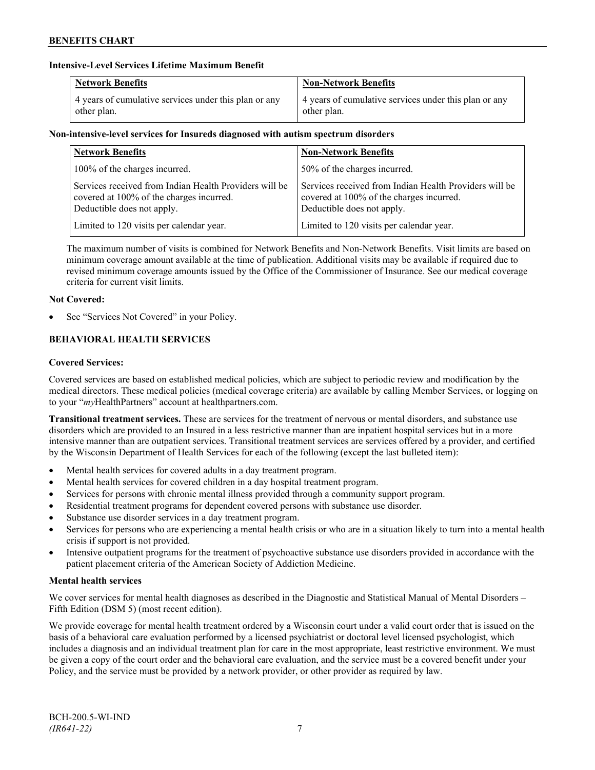## **Intensive-Level Services Lifetime Maximum Benefit**

| <b>Network Benefits</b>                               | <b>Non-Network Benefits</b>                           |
|-------------------------------------------------------|-------------------------------------------------------|
| 4 years of cumulative services under this plan or any | 4 years of cumulative services under this plan or any |
| other plan.                                           | other plan.                                           |

## **Non-intensive-level services for Insureds diagnosed with autism spectrum disorders**

| <b>Network Benefits</b>                                                                                                          | <b>Non-Network Benefits</b>                                                                                                      |
|----------------------------------------------------------------------------------------------------------------------------------|----------------------------------------------------------------------------------------------------------------------------------|
| 100% of the charges incurred.                                                                                                    | 50% of the charges incurred.                                                                                                     |
| Services received from Indian Health Providers will be<br>covered at 100% of the charges incurred.<br>Deductible does not apply. | Services received from Indian Health Providers will be<br>covered at 100% of the charges incurred.<br>Deductible does not apply. |
| Limited to 120 visits per calendar year.                                                                                         | Limited to 120 visits per calendar year.                                                                                         |

The maximum number of visits is combined for Network Benefits and Non-Network Benefits. Visit limits are based on minimum coverage amount available at the time of publication. Additional visits may be available if required due to revised minimum coverage amounts issued by the Office of the Commissioner of Insurance. See our medical coverage criteria for current visit limits.

## **Not Covered:**

See "Services Not Covered" in your Policy.

## **BEHAVIORAL HEALTH SERVICES**

## **Covered Services:**

Covered services are based on established medical policies, which are subject to periodic review and modification by the medical directors. These medical policies (medical coverage criteria) are available by calling Member Services, or logging on to your "*my*HealthPartners" account at [healthpartners.com.](http://www.healthpartners.com/)

**Transitional treatment services.** These are services for the treatment of nervous or mental disorders, and substance use disorders which are provided to an Insured in a less restrictive manner than are inpatient hospital services but in a more intensive manner than are outpatient services. Transitional treatment services are services offered by a provider, and certified by the Wisconsin Department of Health Services for each of the following (except the last bulleted item):

- Mental health services for covered adults in a day treatment program.
- Mental health services for covered children in a day hospital treatment program.
- Services for persons with chronic mental illness provided through a community support program.
- Residential treatment programs for dependent covered persons with substance use disorder.
- Substance use disorder services in a day treatment program.
- Services for persons who are experiencing a mental health crisis or who are in a situation likely to turn into a mental health crisis if support is not provided.
- Intensive outpatient programs for the treatment of psychoactive substance use disorders provided in accordance with the patient placement criteria of the American Society of Addiction Medicine.

## **Mental health services**

We cover services for mental health diagnoses as described in the Diagnostic and Statistical Manual of Mental Disorders – Fifth Edition (DSM 5) (most recent edition).

We provide coverage for mental health treatment ordered by a Wisconsin court under a valid court order that is issued on the basis of a behavioral care evaluation performed by a licensed psychiatrist or doctoral level licensed psychologist, which includes a diagnosis and an individual treatment plan for care in the most appropriate, least restrictive environment. We must be given a copy of the court order and the behavioral care evaluation, and the service must be a covered benefit under your Policy, and the service must be provided by a network provider, or other provider as required by law.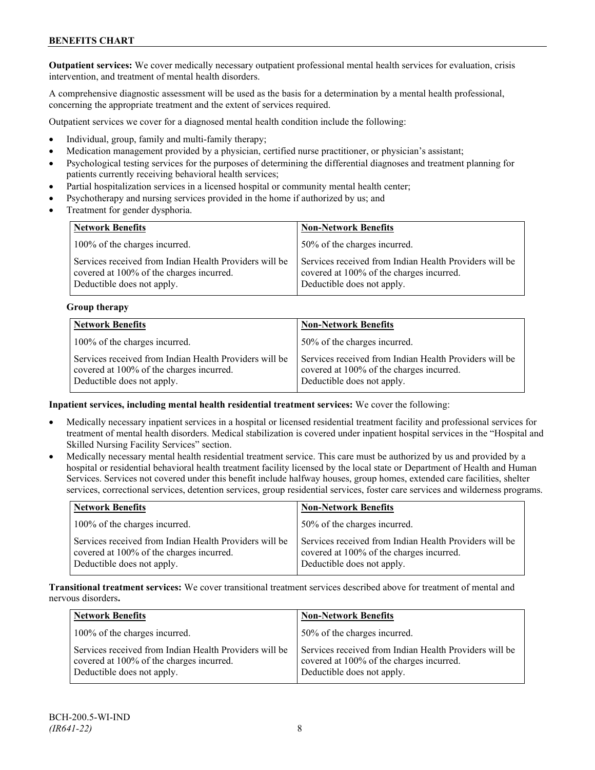**Outpatient services:** We cover medically necessary outpatient professional mental health services for evaluation, crisis intervention, and treatment of mental health disorders.

A comprehensive diagnostic assessment will be used as the basis for a determination by a mental health professional, concerning the appropriate treatment and the extent of services required.

Outpatient services we cover for a diagnosed mental health condition include the following:

- Individual, group, family and multi-family therapy;
- Medication management provided by a physician, certified nurse practitioner, or physician's assistant;
- Psychological testing services for the purposes of determining the differential diagnoses and treatment planning for patients currently receiving behavioral health services;
- Partial hospitalization services in a licensed hospital or community mental health center;
- Psychotherapy and nursing services provided in the home if authorized by us; and
- Treatment for gender dysphoria.

| <b>Network Benefits</b>                                                                                                          | <b>Non-Network Benefits</b>                                                                                                      |
|----------------------------------------------------------------------------------------------------------------------------------|----------------------------------------------------------------------------------------------------------------------------------|
| 100% of the charges incurred.                                                                                                    | 50% of the charges incurred.                                                                                                     |
| Services received from Indian Health Providers will be<br>covered at 100% of the charges incurred.<br>Deductible does not apply. | Services received from Indian Health Providers will be<br>covered at 100% of the charges incurred.<br>Deductible does not apply. |

## **Group therapy**

| <b>Network Benefits</b>                                                                                                          | <b>Non-Network Benefits</b>                                                                                                      |
|----------------------------------------------------------------------------------------------------------------------------------|----------------------------------------------------------------------------------------------------------------------------------|
| 100% of the charges incurred.                                                                                                    | 50% of the charges incurred.                                                                                                     |
| Services received from Indian Health Providers will be<br>covered at 100% of the charges incurred.<br>Deductible does not apply. | Services received from Indian Health Providers will be<br>covered at 100% of the charges incurred.<br>Deductible does not apply. |

## **Inpatient services, including mental health residential treatment services:** We cover the following:

- Medically necessary inpatient services in a hospital or licensed residential treatment facility and professional services for treatment of mental health disorders. Medical stabilization is covered under inpatient hospital services in the "Hospital and Skilled Nursing Facility Services" section.
- Medically necessary mental health residential treatment service. This care must be authorized by us and provided by a hospital or residential behavioral health treatment facility licensed by the local state or Department of Health and Human Services. Services not covered under this benefit include halfway houses, group homes, extended care facilities, shelter services, correctional services, detention services, group residential services, foster care services and wilderness programs.

| <b>Network Benefits</b>                                                                                                          | <b>Non-Network Benefits</b>                                                                                                      |
|----------------------------------------------------------------------------------------------------------------------------------|----------------------------------------------------------------------------------------------------------------------------------|
| 100% of the charges incurred.                                                                                                    | 50% of the charges incurred.                                                                                                     |
| Services received from Indian Health Providers will be<br>covered at 100% of the charges incurred.<br>Deductible does not apply. | Services received from Indian Health Providers will be<br>covered at 100% of the charges incurred.<br>Deductible does not apply. |

**Transitional treatment services:** We cover transitional treatment services described above for treatment of mental and nervous disorders**.**

| <b>Network Benefits</b>                                                                                                          | <b>Non-Network Benefits</b>                                                                                                      |
|----------------------------------------------------------------------------------------------------------------------------------|----------------------------------------------------------------------------------------------------------------------------------|
| 100% of the charges incurred.                                                                                                    | 50% of the charges incurred.                                                                                                     |
| Services received from Indian Health Providers will be<br>covered at 100% of the charges incurred.<br>Deductible does not apply. | Services received from Indian Health Providers will be<br>covered at 100% of the charges incurred.<br>Deductible does not apply. |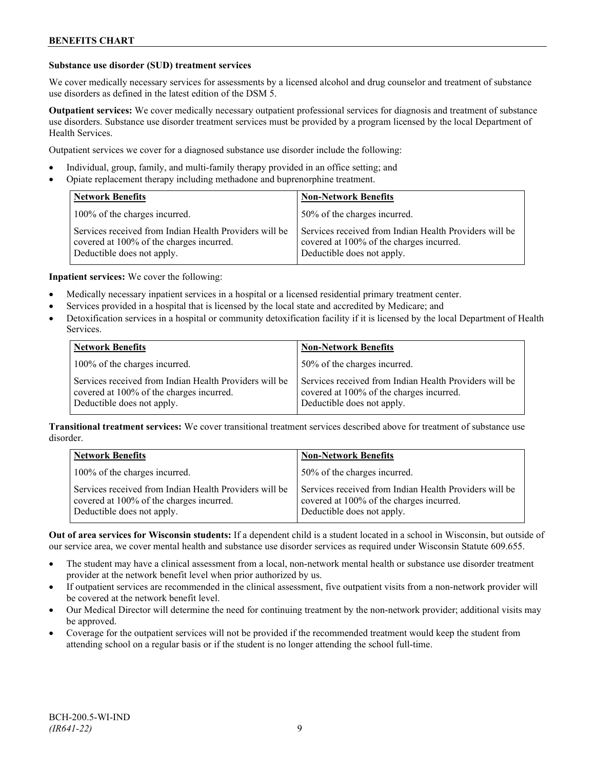## **Substance use disorder (SUD) treatment services**

We cover medically necessary services for assessments by a licensed alcohol and drug counselor and treatment of substance use disorders as defined in the latest edition of the DSM 5.

**Outpatient services:** We cover medically necessary outpatient professional services for diagnosis and treatment of substance use disorders. Substance use disorder treatment services must be provided by a program licensed by the local Department of Health Services.

Outpatient services we cover for a diagnosed substance use disorder include the following:

- Individual, group, family, and multi-family therapy provided in an office setting; and
- Opiate replacement therapy including methadone and buprenorphine treatment.

| <b>Network Benefits</b>                                                                                                          | <b>Non-Network Benefits</b>                                                                                                      |
|----------------------------------------------------------------------------------------------------------------------------------|----------------------------------------------------------------------------------------------------------------------------------|
| 100% of the charges incurred.                                                                                                    | 50% of the charges incurred.                                                                                                     |
| Services received from Indian Health Providers will be<br>covered at 100% of the charges incurred.<br>Deductible does not apply. | Services received from Indian Health Providers will be<br>covered at 100% of the charges incurred.<br>Deductible does not apply. |

**Inpatient services:** We cover the following:

- Medically necessary inpatient services in a hospital or a licensed residential primary treatment center.
- Services provided in a hospital that is licensed by the local state and accredited by Medicare; and
- Detoxification services in a hospital or community detoxification facility if it is licensed by the local Department of Health Services.

| <b>Network Benefits</b>                                                                                                          | <b>Non-Network Benefits</b>                                                                                                      |
|----------------------------------------------------------------------------------------------------------------------------------|----------------------------------------------------------------------------------------------------------------------------------|
| 100% of the charges incurred.                                                                                                    | 50% of the charges incurred.                                                                                                     |
| Services received from Indian Health Providers will be<br>covered at 100% of the charges incurred.<br>Deductible does not apply. | Services received from Indian Health Providers will be<br>covered at 100% of the charges incurred.<br>Deductible does not apply. |

**Transitional treatment services:** We cover transitional treatment services described above for treatment of substance use disorder.

| <b>Network Benefits</b>                                                                                                          | <b>Non-Network Benefits</b>                                                                                                      |
|----------------------------------------------------------------------------------------------------------------------------------|----------------------------------------------------------------------------------------------------------------------------------|
| 100% of the charges incurred.                                                                                                    | 50% of the charges incurred.                                                                                                     |
| Services received from Indian Health Providers will be<br>covered at 100% of the charges incurred.<br>Deductible does not apply. | Services received from Indian Health Providers will be<br>covered at 100% of the charges incurred.<br>Deductible does not apply. |

**Out of area services for Wisconsin students:** If a dependent child is a student located in a school in Wisconsin, but outside of our service area, we cover mental health and substance use disorder services as required under Wisconsin Statute 609.655.

- The student may have a clinical assessment from a local, non-network mental health or substance use disorder treatment provider at the network benefit level when prior authorized by us.
- If outpatient services are recommended in the clinical assessment, five outpatient visits from a non-network provider will be covered at the network benefit level.
- Our Medical Director will determine the need for continuing treatment by the non-network provider; additional visits may be approved.
- Coverage for the outpatient services will not be provided if the recommended treatment would keep the student from attending school on a regular basis or if the student is no longer attending the school full-time.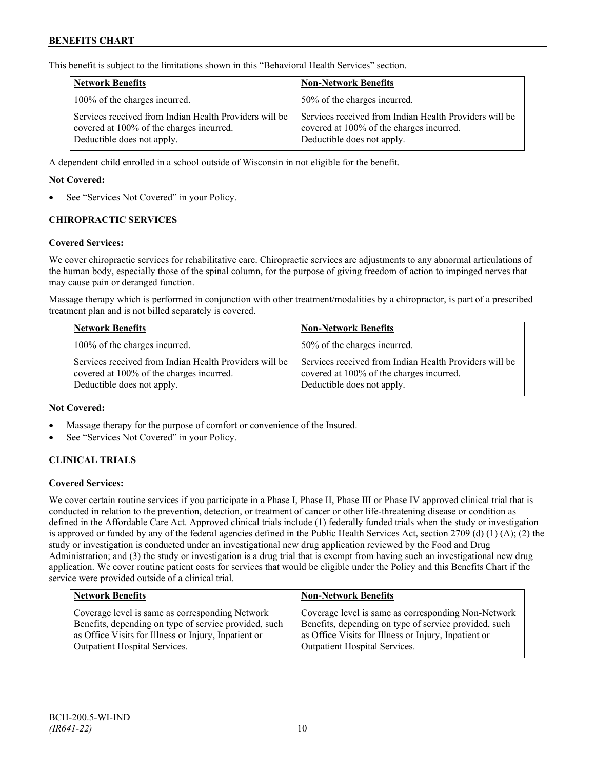This benefit is subject to the limitations shown in this "Behavioral Health Services" section.

| <b>Network Benefits</b>                                                                                                          | <b>Non-Network Benefits</b>                                                                                                      |
|----------------------------------------------------------------------------------------------------------------------------------|----------------------------------------------------------------------------------------------------------------------------------|
| 100% of the charges incurred.                                                                                                    | 50% of the charges incurred.                                                                                                     |
| Services received from Indian Health Providers will be<br>covered at 100% of the charges incurred.<br>Deductible does not apply. | Services received from Indian Health Providers will be<br>covered at 100% of the charges incurred.<br>Deductible does not apply. |

A dependent child enrolled in a school outside of Wisconsin in not eligible for the benefit.

## **Not Covered:**

See "Services Not Covered" in your Policy.

## **CHIROPRACTIC SERVICES**

#### **Covered Services:**

We cover chiropractic services for rehabilitative care. Chiropractic services are adjustments to any abnormal articulations of the human body, especially those of the spinal column, for the purpose of giving freedom of action to impinged nerves that may cause pain or deranged function.

Massage therapy which is performed in conjunction with other treatment/modalities by a chiropractor, is part of a prescribed treatment plan and is not billed separately is covered.

| <b>Network Benefits</b>                                                                                                          | <b>Non-Network Benefits</b>                                                                                                      |
|----------------------------------------------------------------------------------------------------------------------------------|----------------------------------------------------------------------------------------------------------------------------------|
| 100% of the charges incurred.                                                                                                    | 50% of the charges incurred.                                                                                                     |
| Services received from Indian Health Providers will be<br>covered at 100% of the charges incurred.<br>Deductible does not apply. | Services received from Indian Health Providers will be<br>covered at 100% of the charges incurred.<br>Deductible does not apply. |

#### **Not Covered:**

- Massage therapy for the purpose of comfort or convenience of the Insured.
- See "Services Not Covered" in your Policy.

## **CLINICAL TRIALS**

#### **Covered Services:**

We cover certain routine services if you participate in a Phase I, Phase II, Phase III or Phase IV approved clinical trial that is conducted in relation to the prevention, detection, or treatment of cancer or other life-threatening disease or condition as defined in the Affordable Care Act. Approved clinical trials include (1) federally funded trials when the study or investigation is approved or funded by any of the federal agencies defined in the Public Health Services Act, section 2709 (d) (1) (A); (2) the study or investigation is conducted under an investigational new drug application reviewed by the Food and Drug Administration; and (3) the study or investigation is a drug trial that is exempt from having such an investigational new drug application. We cover routine patient costs for services that would be eligible under the Policy and this Benefits Chart if the service were provided outside of a clinical trial.

| <b>Network Benefits</b>                               | <b>Non-Network Benefits</b>                           |
|-------------------------------------------------------|-------------------------------------------------------|
| Coverage level is same as corresponding Network       | Coverage level is same as corresponding Non-Network   |
| Benefits, depending on type of service provided, such | Benefits, depending on type of service provided, such |
| as Office Visits for Illness or Injury, Inpatient or  | as Office Visits for Illness or Injury, Inpatient or  |
| <b>Outpatient Hospital Services.</b>                  | Outpatient Hospital Services.                         |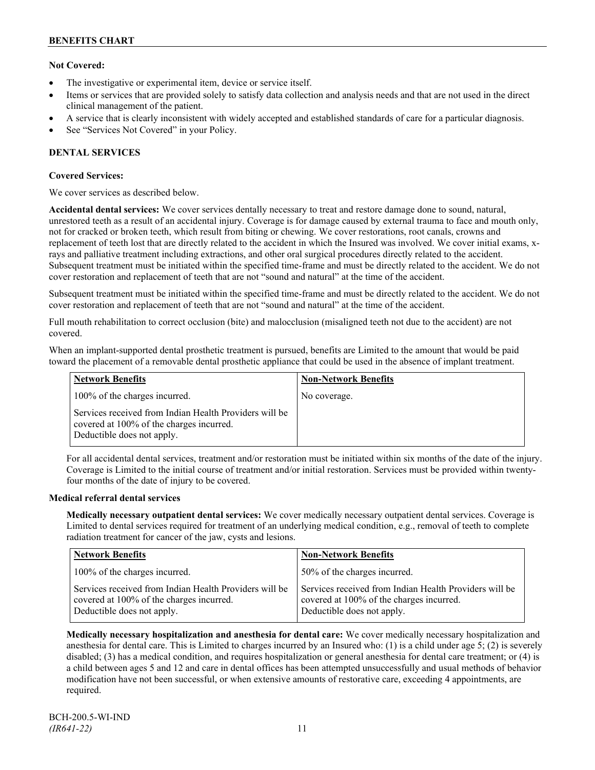## **Not Covered:**

- The investigative or experimental item, device or service itself.
- Items or services that are provided solely to satisfy data collection and analysis needs and that are not used in the direct clinical management of the patient.
- A service that is clearly inconsistent with widely accepted and established standards of care for a particular diagnosis.
- See "Services Not Covered" in your Policy.

## **DENTAL SERVICES**

## **Covered Services:**

We cover services as described below.

**Accidental dental services:** We cover services dentally necessary to treat and restore damage done to sound, natural, unrestored teeth as a result of an accidental injury. Coverage is for damage caused by external trauma to face and mouth only, not for cracked or broken teeth, which result from biting or chewing. We cover restorations, root canals, crowns and replacement of teeth lost that are directly related to the accident in which the Insured was involved. We cover initial exams, xrays and palliative treatment including extractions, and other oral surgical procedures directly related to the accident. Subsequent treatment must be initiated within the specified time-frame and must be directly related to the accident. We do not cover restoration and replacement of teeth that are not "sound and natural" at the time of the accident.

Subsequent treatment must be initiated within the specified time-frame and must be directly related to the accident. We do not cover restoration and replacement of teeth that are not "sound and natural" at the time of the accident.

Full mouth rehabilitation to correct occlusion (bite) and malocclusion (misaligned teeth not due to the accident) are not covered.

When an implant-supported dental prosthetic treatment is pursued, benefits are Limited to the amount that would be paid toward the placement of a removable dental prosthetic appliance that could be used in the absence of implant treatment.

| <b>Network Benefits</b>                                                                                                          | <b>Non-Network Benefits</b> |
|----------------------------------------------------------------------------------------------------------------------------------|-----------------------------|
| 100% of the charges incurred.                                                                                                    | No coverage.                |
| Services received from Indian Health Providers will be<br>covered at 100% of the charges incurred.<br>Deductible does not apply. |                             |

For all accidental dental services, treatment and/or restoration must be initiated within six months of the date of the injury. Coverage is Limited to the initial course of treatment and/or initial restoration. Services must be provided within twentyfour months of the date of injury to be covered.

## **Medical referral dental services**

**Medically necessary outpatient dental services:** We cover medically necessary outpatient dental services. Coverage is Limited to dental services required for treatment of an underlying medical condition, e.g., removal of teeth to complete radiation treatment for cancer of the jaw, cysts and lesions.

| <b>Network Benefits</b>                                                                                                          | <b>Non-Network Benefits</b>                                                                                                      |
|----------------------------------------------------------------------------------------------------------------------------------|----------------------------------------------------------------------------------------------------------------------------------|
| 100% of the charges incurred.                                                                                                    | 50% of the charges incurred.                                                                                                     |
| Services received from Indian Health Providers will be<br>covered at 100% of the charges incurred.<br>Deductible does not apply. | Services received from Indian Health Providers will be<br>covered at 100% of the charges incurred.<br>Deductible does not apply. |

**Medically necessary hospitalization and anesthesia for dental care:** We cover medically necessary hospitalization and anesthesia for dental care. This is Limited to charges incurred by an Insured who: (1) is a child under age 5; (2) is severely disabled; (3) has a medical condition, and requires hospitalization or general anesthesia for dental care treatment; or (4) is a child between ages 5 and 12 and care in dental offices has been attempted unsuccessfully and usual methods of behavior modification have not been successful, or when extensive amounts of restorative care, exceeding 4 appointments, are required.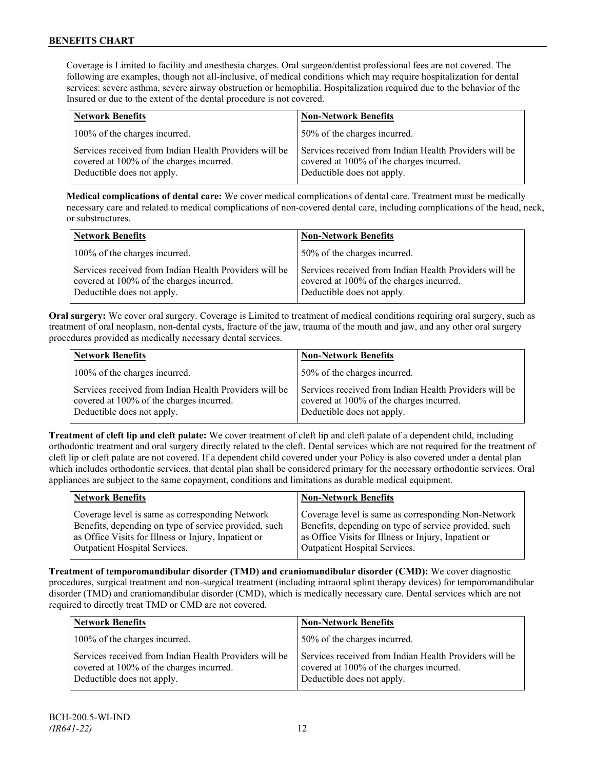Coverage is Limited to facility and anesthesia charges. Oral surgeon/dentist professional fees are not covered. The following are examples, though not all-inclusive, of medical conditions which may require hospitalization for dental services: severe asthma, severe airway obstruction or hemophilia. Hospitalization required due to the behavior of the Insured or due to the extent of the dental procedure is not covered.

| <b>Network Benefits</b>                                                                                                          | <b>Non-Network Benefits</b>                                                                                                      |
|----------------------------------------------------------------------------------------------------------------------------------|----------------------------------------------------------------------------------------------------------------------------------|
| 100% of the charges incurred.                                                                                                    | 50% of the charges incurred.                                                                                                     |
| Services received from Indian Health Providers will be<br>covered at 100% of the charges incurred.<br>Deductible does not apply. | Services received from Indian Health Providers will be<br>covered at 100% of the charges incurred.<br>Deductible does not apply. |

**Medical complications of dental care:** We cover medical complications of dental care. Treatment must be medically necessary care and related to medical complications of non-covered dental care, including complications of the head, neck, or substructures.

| <b>Network Benefits</b>                                                                                                          | <b>Non-Network Benefits</b>                                                                                                      |
|----------------------------------------------------------------------------------------------------------------------------------|----------------------------------------------------------------------------------------------------------------------------------|
| 100% of the charges incurred.                                                                                                    | 50% of the charges incurred.                                                                                                     |
| Services received from Indian Health Providers will be<br>covered at 100% of the charges incurred.<br>Deductible does not apply. | Services received from Indian Health Providers will be<br>covered at 100% of the charges incurred.<br>Deductible does not apply. |

**Oral surgery:** We cover oral surgery. Coverage is Limited to treatment of medical conditions requiring oral surgery, such as treatment of oral neoplasm, non-dental cysts, fracture of the jaw, trauma of the mouth and jaw, and any other oral surgery procedures provided as medically necessary dental services.

| <b>Network Benefits</b>                                                                                                          | <b>Non-Network Benefits</b>                                                                                                      |
|----------------------------------------------------------------------------------------------------------------------------------|----------------------------------------------------------------------------------------------------------------------------------|
| 100% of the charges incurred.                                                                                                    | 50% of the charges incurred.                                                                                                     |
| Services received from Indian Health Providers will be<br>covered at 100% of the charges incurred.<br>Deductible does not apply. | Services received from Indian Health Providers will be<br>covered at 100% of the charges incurred.<br>Deductible does not apply. |

**Treatment of cleft lip and cleft palate:** We cover treatment of cleft lip and cleft palate of a dependent child, including orthodontic treatment and oral surgery directly related to the cleft. Dental services which are not required for the treatment of cleft lip or cleft palate are not covered. If a dependent child covered under your Policy is also covered under a dental plan which includes orthodontic services, that dental plan shall be considered primary for the necessary orthodontic services. Oral appliances are subject to the same copayment, conditions and limitations as durable medical equipment.

| <b>Network Benefits</b>                                                                                                                                                                           | <b>Non-Network Benefits</b>                                                                                                                                                                           |
|---------------------------------------------------------------------------------------------------------------------------------------------------------------------------------------------------|-------------------------------------------------------------------------------------------------------------------------------------------------------------------------------------------------------|
| Coverage level is same as corresponding Network<br>Benefits, depending on type of service provided, such<br>as Office Visits for Illness or Injury, Inpatient or<br>Outpatient Hospital Services. | Coverage level is same as corresponding Non-Network<br>Benefits, depending on type of service provided, such<br>as Office Visits for Illness or Injury, Inpatient or<br>Outpatient Hospital Services. |
|                                                                                                                                                                                                   |                                                                                                                                                                                                       |

**Treatment of temporomandibular disorder (TMD) and craniomandibular disorder (CMD):** We cover diagnostic procedures, surgical treatment and non-surgical treatment (including intraoral splint therapy devices) for temporomandibular disorder (TMD) and craniomandibular disorder (CMD), which is medically necessary care. Dental services which are not required to directly treat TMD or CMD are not covered.

| <b>Network Benefits</b>                                                                                                          | <b>Non-Network Benefits</b>                                                                                                      |
|----------------------------------------------------------------------------------------------------------------------------------|----------------------------------------------------------------------------------------------------------------------------------|
| 100% of the charges incurred.                                                                                                    | 50% of the charges incurred.                                                                                                     |
| Services received from Indian Health Providers will be<br>covered at 100% of the charges incurred.<br>Deductible does not apply. | Services received from Indian Health Providers will be<br>covered at 100% of the charges incurred.<br>Deductible does not apply. |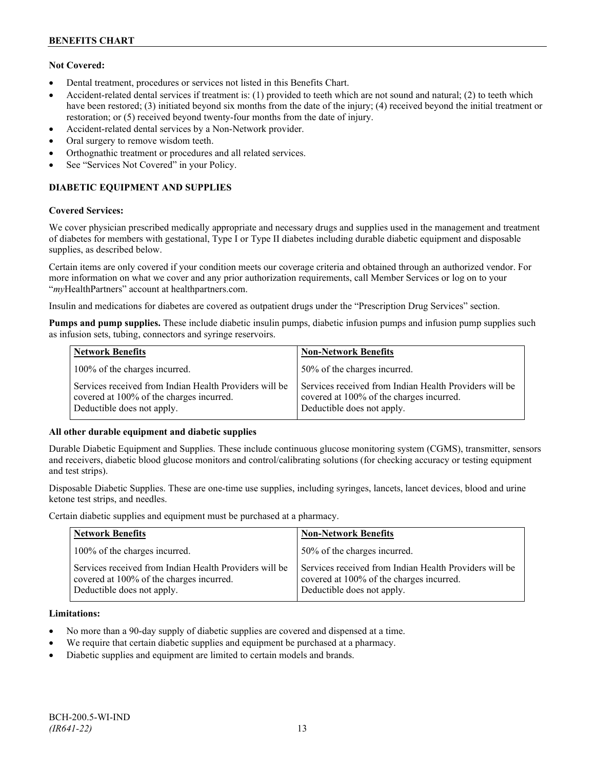## **Not Covered:**

- Dental treatment, procedures or services not listed in this Benefits Chart.
- Accident-related dental services if treatment is: (1) provided to teeth which are not sound and natural; (2) to teeth which have been restored; (3) initiated beyond six months from the date of the injury; (4) received beyond the initial treatment or restoration; or (5) received beyond twenty-four months from the date of injury.
- Accident-related dental services by a Non-Network provider.
- Oral surgery to remove wisdom teeth.
- Orthognathic treatment or procedures and all related services.
- See "Services Not Covered" in your Policy.

## **DIABETIC EQUIPMENT AND SUPPLIES**

## **Covered Services:**

We cover physician prescribed medically appropriate and necessary drugs and supplies used in the management and treatment of diabetes for members with gestational, Type I or Type II diabetes including durable diabetic equipment and disposable supplies, as described below.

Certain items are only covered if your condition meets our coverage criteria and obtained through an authorized vendor. For more information on what we cover and any prior authorization requirements, call Member Services or log on to your "*my*HealthPartners" account at [healthpartners.com.](http://www.healthpartners.com/)

Insulin and medications for diabetes are covered as outpatient drugs under the "Prescription Drug Services" section.

**Pumps and pump supplies.** These include diabetic insulin pumps, diabetic infusion pumps and infusion pump supplies such as infusion sets, tubing, connectors and syringe reservoirs.

| <b>Network Benefits</b>                                                                                                          | <b>Non-Network Benefits</b>                                                                                                      |
|----------------------------------------------------------------------------------------------------------------------------------|----------------------------------------------------------------------------------------------------------------------------------|
| 100% of the charges incurred.                                                                                                    | 50% of the charges incurred.                                                                                                     |
| Services received from Indian Health Providers will be<br>covered at 100% of the charges incurred.<br>Deductible does not apply. | Services received from Indian Health Providers will be<br>covered at 100% of the charges incurred.<br>Deductible does not apply. |

## **All other durable equipment and diabetic supplies**

Durable Diabetic Equipment and Supplies. These include continuous glucose monitoring system (CGMS), transmitter, sensors and receivers, diabetic blood glucose monitors and control/calibrating solutions (for checking accuracy or testing equipment and test strips).

Disposable Diabetic Supplies. These are one-time use supplies, including syringes, lancets, lancet devices, blood and urine ketone test strips, and needles.

Certain diabetic supplies and equipment must be purchased at a pharmacy.

| <b>Network Benefits</b>                                                                                                          | <b>Non-Network Benefits</b>                                                                                                      |
|----------------------------------------------------------------------------------------------------------------------------------|----------------------------------------------------------------------------------------------------------------------------------|
| 100% of the charges incurred.                                                                                                    | 50% of the charges incurred.                                                                                                     |
| Services received from Indian Health Providers will be<br>covered at 100% of the charges incurred.<br>Deductible does not apply. | Services received from Indian Health Providers will be<br>covered at 100% of the charges incurred.<br>Deductible does not apply. |

## **Limitations:**

- No more than a 90-day supply of diabetic supplies are covered and dispensed at a time.
- We require that certain diabetic supplies and equipment be purchased at a pharmacy.
- Diabetic supplies and equipment are limited to certain models and brands.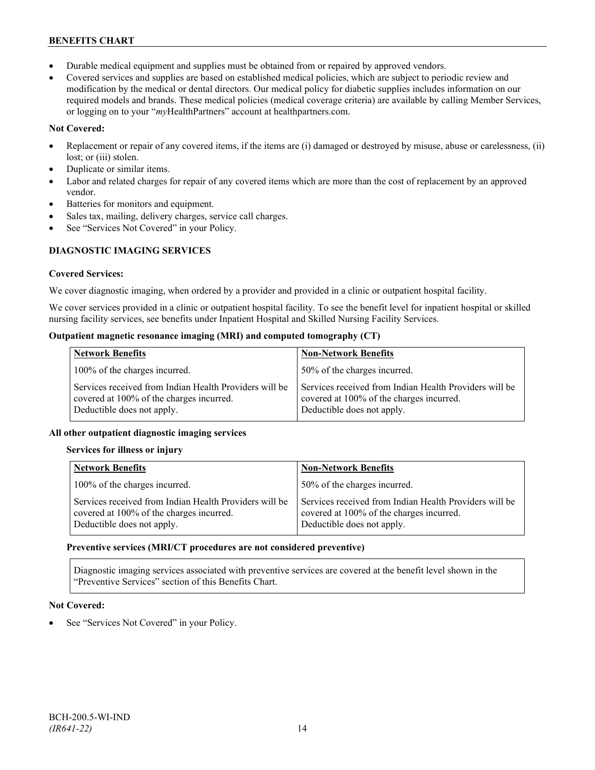- Durable medical equipment and supplies must be obtained from or repaired by approved vendors.
- Covered services and supplies are based on established medical policies, which are subject to periodic review and modification by the medical or dental directors. Our medical policy for diabetic supplies includes information on our required models and brands. These medical policies (medical coverage criteria) are available by calling Member Services, or logging on to your "*my*HealthPartners" account at healthpartners.com.

## **Not Covered:**

- Replacement or repair of any covered items, if the items are (i) damaged or destroyed by misuse, abuse or carelessness, (ii) lost; or (iii) stolen.
- Duplicate or similar items.
- Labor and related charges for repair of any covered items which are more than the cost of replacement by an approved vendor.
- Batteries for monitors and equipment.
- Sales tax, mailing, delivery charges, service call charges.
- See "Services Not Covered" in your Policy.

## **DIAGNOSTIC IMAGING SERVICES**

## **Covered Services:**

We cover diagnostic imaging, when ordered by a provider and provided in a clinic or outpatient hospital facility.

We cover services provided in a clinic or outpatient hospital facility. To see the benefit level for inpatient hospital or skilled nursing facility services, see benefits under Inpatient Hospital and Skilled Nursing Facility Services.

## **Outpatient magnetic resonance imaging (MRI) and computed tomography (CT)**

| <b>Network Benefits</b>                                                                                                          | <b>Non-Network Benefits</b>                                                                                                      |
|----------------------------------------------------------------------------------------------------------------------------------|----------------------------------------------------------------------------------------------------------------------------------|
| 100% of the charges incurred.                                                                                                    | 50% of the charges incurred.                                                                                                     |
| Services received from Indian Health Providers will be<br>covered at 100% of the charges incurred.<br>Deductible does not apply. | Services received from Indian Health Providers will be<br>covered at 100% of the charges incurred.<br>Deductible does not apply. |

## **All other outpatient diagnostic imaging services**

## **Services for illness or injury**

| <b>Network Benefits</b>                                                                                                          | <b>Non-Network Benefits</b>                                                                                                      |
|----------------------------------------------------------------------------------------------------------------------------------|----------------------------------------------------------------------------------------------------------------------------------|
| 100% of the charges incurred.                                                                                                    | 50% of the charges incurred.                                                                                                     |
| Services received from Indian Health Providers will be<br>covered at 100% of the charges incurred.<br>Deductible does not apply. | Services received from Indian Health Providers will be<br>covered at 100% of the charges incurred.<br>Deductible does not apply. |

## **Preventive services (MRI/CT procedures are not considered preventive)**

Diagnostic imaging services associated with preventive services are covered at the benefit level shown in the "Preventive Services" section of this Benefits Chart.

## **Not Covered:**

See "Services Not Covered" in your Policy.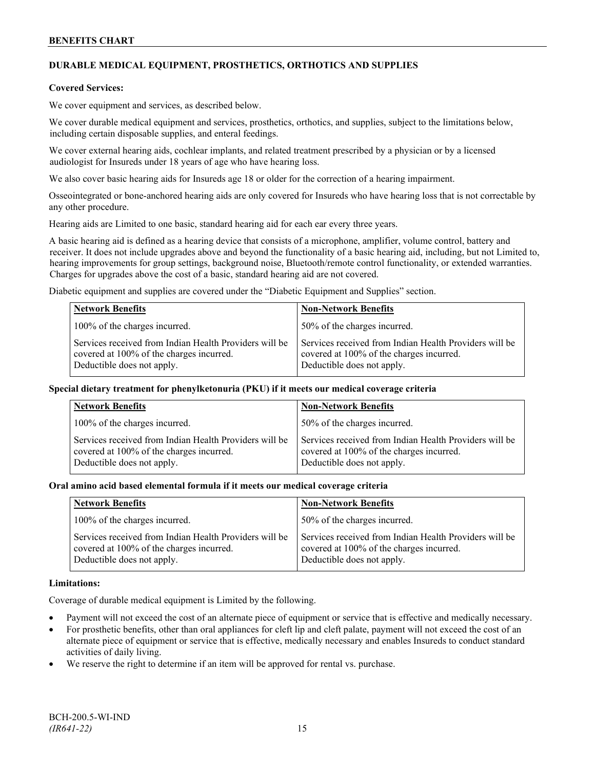## **DURABLE MEDICAL EQUIPMENT, PROSTHETICS, ORTHOTICS AND SUPPLIES**

#### **Covered Services:**

We cover equipment and services, as described below.

We cover durable medical equipment and services, prosthetics, orthotics, and supplies, subject to the limitations below, including certain disposable supplies, and enteral feedings.

We cover external hearing aids, cochlear implants, and related treatment prescribed by a physician or by a licensed audiologist for Insureds under 18 years of age who have hearing loss.

We also cover basic hearing aids for Insureds age 18 or older for the correction of a hearing impairment.

Osseointegrated or bone-anchored hearing aids are only covered for Insureds who have hearing loss that is not correctable by any other procedure.

Hearing aids are Limited to one basic, standard hearing aid for each ear every three years.

A basic hearing aid is defined as a hearing device that consists of a microphone, amplifier, volume control, battery and receiver. It does not include upgrades above and beyond the functionality of a basic hearing aid, including, but not Limited to, hearing improvements for group settings, background noise, Bluetooth/remote control functionality, or extended warranties. Charges for upgrades above the cost of a basic, standard hearing aid are not covered.

Diabetic equipment and supplies are covered under the "Diabetic Equipment and Supplies" section.

| <b>Network Benefits</b>                                                                                                          | <b>Non-Network Benefits</b>                                                                                                      |
|----------------------------------------------------------------------------------------------------------------------------------|----------------------------------------------------------------------------------------------------------------------------------|
| 100% of the charges incurred.                                                                                                    | 50% of the charges incurred.                                                                                                     |
| Services received from Indian Health Providers will be<br>covered at 100% of the charges incurred.<br>Deductible does not apply. | Services received from Indian Health Providers will be<br>covered at 100% of the charges incurred.<br>Deductible does not apply. |

#### **Special dietary treatment for phenylketonuria (PKU) if it meets our medical coverage criteria**

| <b>Network Benefits</b>                                                                                                          | <b>Non-Network Benefits</b>                                                                                                      |
|----------------------------------------------------------------------------------------------------------------------------------|----------------------------------------------------------------------------------------------------------------------------------|
| 100% of the charges incurred.                                                                                                    | 50% of the charges incurred.                                                                                                     |
| Services received from Indian Health Providers will be<br>covered at 100% of the charges incurred.<br>Deductible does not apply. | Services received from Indian Health Providers will be<br>covered at 100% of the charges incurred.<br>Deductible does not apply. |

#### **Oral amino acid based elemental formula if it meets our medical coverage criteria**

| <b>Network Benefits</b>                                                                                                          | <b>Non-Network Benefits</b>                                                                                                      |
|----------------------------------------------------------------------------------------------------------------------------------|----------------------------------------------------------------------------------------------------------------------------------|
| 100% of the charges incurred.                                                                                                    | 50% of the charges incurred.                                                                                                     |
| Services received from Indian Health Providers will be<br>covered at 100% of the charges incurred.<br>Deductible does not apply. | Services received from Indian Health Providers will be<br>covered at 100% of the charges incurred.<br>Deductible does not apply. |

#### **Limitations:**

Coverage of durable medical equipment is Limited by the following.

- Payment will not exceed the cost of an alternate piece of equipment or service that is effective and medically necessary.
- For prosthetic benefits, other than oral appliances for cleft lip and cleft palate, payment will not exceed the cost of an alternate piece of equipment or service that is effective, medically necessary and enables Insureds to conduct standard activities of daily living.
- We reserve the right to determine if an item will be approved for rental vs. purchase.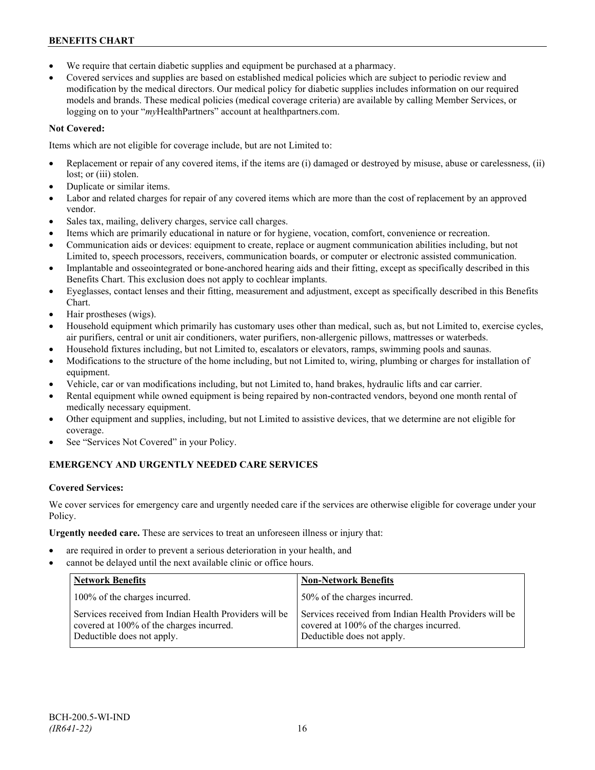- We require that certain diabetic supplies and equipment be purchased at a pharmacy.
- Covered services and supplies are based on established medical policies which are subject to periodic review and modification by the medical directors. Our medical policy for diabetic supplies includes information on our required models and brands. These medical policies (medical coverage criteria) are available by calling Member Services, or logging on to your "*my*HealthPartners" account at [healthpartners.com.](http://www.healthpartners.com/)

## **Not Covered:**

Items which are not eligible for coverage include, but are not Limited to:

- Replacement or repair of any covered items, if the items are (i) damaged or destroyed by misuse, abuse or carelessness, (ii) lost; or (iii) stolen.
- Duplicate or similar items.
- Labor and related charges for repair of any covered items which are more than the cost of replacement by an approved vendor.
- Sales tax, mailing, delivery charges, service call charges.
- Items which are primarily educational in nature or for hygiene, vocation, comfort, convenience or recreation.
- Communication aids or devices: equipment to create, replace or augment communication abilities including, but not Limited to, speech processors, receivers, communication boards, or computer or electronic assisted communication.
- Implantable and osseointegrated or bone-anchored hearing aids and their fitting, except as specifically described in this Benefits Chart. This exclusion does not apply to cochlear implants.
- Eyeglasses, contact lenses and their fitting, measurement and adjustment, except as specifically described in this Benefits Chart.
- Hair prostheses (wigs).
- Household equipment which primarily has customary uses other than medical, such as, but not Limited to, exercise cycles, air purifiers, central or unit air conditioners, water purifiers, non-allergenic pillows, mattresses or waterbeds.
- Household fixtures including, but not Limited to, escalators or elevators, ramps, swimming pools and saunas.
- Modifications to the structure of the home including, but not Limited to, wiring, plumbing or charges for installation of equipment.
- Vehicle, car or van modifications including, but not Limited to, hand brakes, hydraulic lifts and car carrier.
- Rental equipment while owned equipment is being repaired by non-contracted vendors, beyond one month rental of medically necessary equipment.
- Other equipment and supplies, including, but not Limited to assistive devices, that we determine are not eligible for coverage.
- See "Services Not Covered" in your Policy.

## **EMERGENCY AND URGENTLY NEEDED CARE SERVICES**

## **Covered Services:**

We cover services for emergency care and urgently needed care if the services are otherwise eligible for coverage under your Policy.

**Urgently needed care.** These are services to treat an unforeseen illness or injury that:

- are required in order to prevent a serious deterioration in your health, and
- cannot be delayed until the next available clinic or office hours.

| <b>Network Benefits</b>                                                                                                          | <b>Non-Network Benefits</b>                                                                                                      |
|----------------------------------------------------------------------------------------------------------------------------------|----------------------------------------------------------------------------------------------------------------------------------|
| 100% of the charges incurred.                                                                                                    | 50% of the charges incurred.                                                                                                     |
| Services received from Indian Health Providers will be<br>covered at 100% of the charges incurred.<br>Deductible does not apply. | Services received from Indian Health Providers will be<br>covered at 100% of the charges incurred.<br>Deductible does not apply. |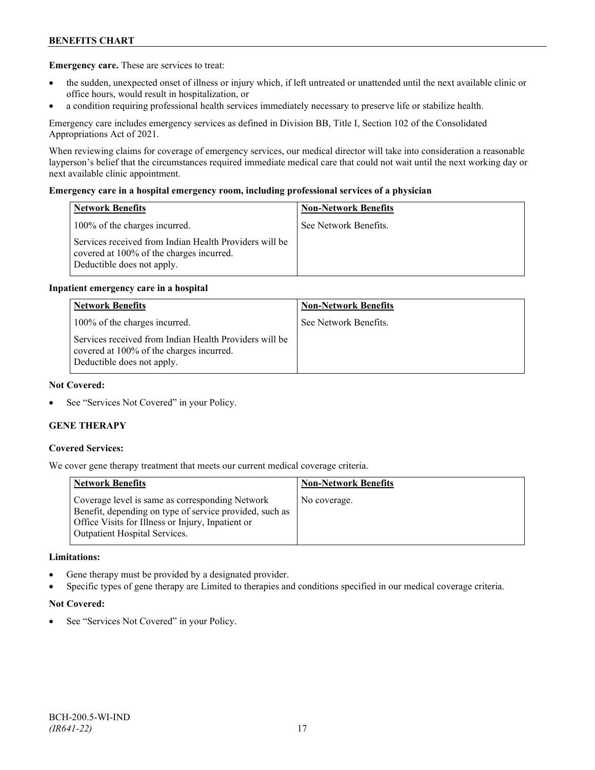**Emergency care.** These are services to treat:

- the sudden, unexpected onset of illness or injury which, if left untreated or unattended until the next available clinic or office hours, would result in hospitalization, or
- a condition requiring professional health services immediately necessary to preserve life or stabilize health.

Emergency care includes emergency services as defined in Division BB, Title I, Section 102 of the Consolidated Appropriations Act of 2021.

When reviewing claims for coverage of emergency services, our medical director will take into consideration a reasonable layperson's belief that the circumstances required immediate medical care that could not wait until the next working day or next available clinic appointment.

## **Emergency care in a hospital emergency room, including professional services of a physician**

| <b>Network Benefits</b>                                                                                                          | <b>Non-Network Benefits</b> |
|----------------------------------------------------------------------------------------------------------------------------------|-----------------------------|
| 100% of the charges incurred.                                                                                                    | See Network Benefits.       |
| Services received from Indian Health Providers will be<br>covered at 100% of the charges incurred.<br>Deductible does not apply. |                             |

## **Inpatient emergency care in a hospital**

| <b>Network Benefits</b>                                                                                                          | <b>Non-Network Benefits</b> |
|----------------------------------------------------------------------------------------------------------------------------------|-----------------------------|
| 100% of the charges incurred.                                                                                                    | See Network Benefits.       |
| Services received from Indian Health Providers will be<br>covered at 100% of the charges incurred.<br>Deductible does not apply. |                             |

#### **Not Covered:**

See "Services Not Covered" in your Policy.

## **GENE THERAPY**

#### **Covered Services:**

We cover gene therapy treatment that meets our current medical coverage criteria.

| <b>Network Benefits</b>                                                                                                                                                                                 | <b>Non-Network Benefits</b> |
|---------------------------------------------------------------------------------------------------------------------------------------------------------------------------------------------------------|-----------------------------|
| Coverage level is same as corresponding Network<br>Benefit, depending on type of service provided, such as<br>Office Visits for Illness or Injury, Inpatient or<br><b>Outpatient Hospital Services.</b> | No coverage.                |

#### **Limitations:**

- Gene therapy must be provided by a designated provider.
- Specific types of gene therapy are Limited to therapies and conditions specified in our medical coverage criteria.

#### **Not Covered:**

See "Services Not Covered" in your Policy.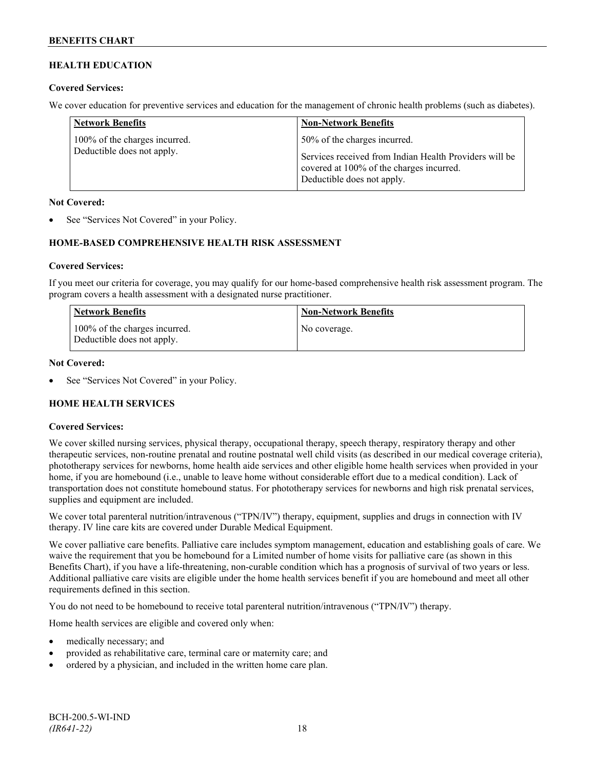## **HEALTH EDUCATION**

## **Covered Services:**

We cover education for preventive services and education for the management of chronic health problems (such as diabetes).

| <b>Network Benefits</b>                                     | <b>Non-Network Benefits</b>                                                                                                                                      |
|-------------------------------------------------------------|------------------------------------------------------------------------------------------------------------------------------------------------------------------|
| 100% of the charges incurred.<br>Deductible does not apply. | 50% of the charges incurred.<br>Services received from Indian Health Providers will be<br>covered at 100% of the charges incurred.<br>Deductible does not apply. |

#### **Not Covered:**

See "Services Not Covered" in your Policy.

## **HOME-BASED COMPREHENSIVE HEALTH RISK ASSESSMENT**

#### **Covered Services:**

If you meet our criteria for coverage, you may qualify for our home-based comprehensive health risk assessment program. The program covers a health assessment with a designated nurse practitioner.

| Network Benefits                                            | <b>Non-Network Benefits</b> |
|-------------------------------------------------------------|-----------------------------|
| 100% of the charges incurred.<br>Deductible does not apply. | No coverage.                |

## **Not Covered:**

See "Services Not Covered" in your Policy.

## **HOME HEALTH SERVICES**

#### **Covered Services:**

We cover skilled nursing services, physical therapy, occupational therapy, speech therapy, respiratory therapy and other therapeutic services, non-routine prenatal and routine postnatal well child visits (as described in our medical coverage criteria), phototherapy services for newborns, home health aide services and other eligible home health services when provided in your home, if you are homebound (i.e., unable to leave home without considerable effort due to a medical condition). Lack of transportation does not constitute homebound status. For phototherapy services for newborns and high risk prenatal services, supplies and equipment are included.

We cover total parenteral nutrition/intravenous ("TPN/IV") therapy, equipment, supplies and drugs in connection with IV therapy. IV line care kits are covered under Durable Medical Equipment.

We cover palliative care benefits. Palliative care includes symptom management, education and establishing goals of care. We waive the requirement that you be homebound for a Limited number of home visits for palliative care (as shown in this Benefits Chart), if you have a life-threatening, non-curable condition which has a prognosis of survival of two years or less. Additional palliative care visits are eligible under the home health services benefit if you are homebound and meet all other requirements defined in this section.

You do not need to be homebound to receive total parenteral nutrition/intravenous ("TPN/IV") therapy.

Home health services are eligible and covered only when:

- medically necessary; and
- provided as rehabilitative care, terminal care or maternity care; and
- ordered by a physician, and included in the written home care plan.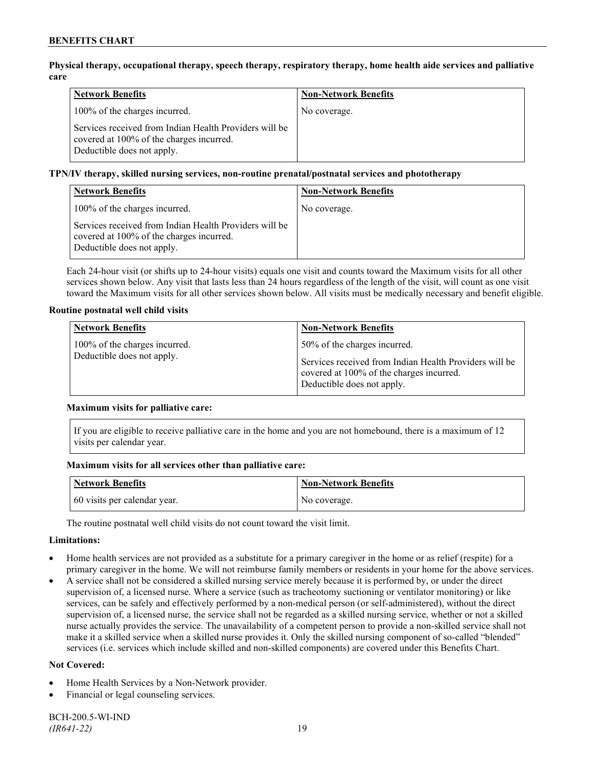**Physical therapy, occupational therapy, speech therapy, respiratory therapy, home health aide services and palliative care**

| <b>Network Benefits</b>                                                                                                          | <b>Non-Network Benefits</b> |
|----------------------------------------------------------------------------------------------------------------------------------|-----------------------------|
| 100% of the charges incurred.                                                                                                    | No coverage.                |
| Services received from Indian Health Providers will be<br>covered at 100% of the charges incurred.<br>Deductible does not apply. |                             |

**TPN/IV therapy, skilled nursing services, non-routine prenatal/postnatal services and phototherapy**

| <b>Network Benefits</b>                                                                                                          | <b>Non-Network Benefits</b> |
|----------------------------------------------------------------------------------------------------------------------------------|-----------------------------|
| 100% of the charges incurred.                                                                                                    | No coverage.                |
| Services received from Indian Health Providers will be<br>covered at 100% of the charges incurred.<br>Deductible does not apply. |                             |

Each 24-hour visit (or shifts up to 24-hour visits) equals one visit and counts toward the Maximum visits for all other services shown below. Any visit that lasts less than 24 hours regardless of the length of the visit, will count as one visit toward the Maximum visits for all other services shown below. All visits must be medically necessary and benefit eligible.

## **Routine postnatal well child visits**

| <b>Network Benefits</b>                                     | <b>Non-Network Benefits</b>                                                                                                                                      |
|-------------------------------------------------------------|------------------------------------------------------------------------------------------------------------------------------------------------------------------|
| 100% of the charges incurred.<br>Deductible does not apply. | 50% of the charges incurred.<br>Services received from Indian Health Providers will be<br>covered at 100% of the charges incurred.<br>Deductible does not apply. |

## **Maximum visits for palliative care:**

If you are eligible to receive palliative care in the home and you are not homebound, there is a maximum of 12 visits per calendar year.

## **Maximum visits for all services other than palliative care:**

| Network Benefits             | Non-Network Benefits |
|------------------------------|----------------------|
| 60 visits per calendar year. | No coverage.         |

The routine postnatal well child visits do not count toward the visit limit.

## **Limitations:**

- Home health services are not provided as a substitute for a primary caregiver in the home or as relief (respite) for a primary caregiver in the home. We will not reimburse family members or residents in your home for the above services.
- A service shall not be considered a skilled nursing service merely because it is performed by, or under the direct supervision of, a licensed nurse. Where a service (such as tracheotomy suctioning or ventilator monitoring) or like services, can be safely and effectively performed by a non-medical person (or self-administered), without the direct supervision of, a licensed nurse, the service shall not be regarded as a skilled nursing service, whether or not a skilled nurse actually provides the service. The unavailability of a competent person to provide a non-skilled service shall not make it a skilled service when a skilled nurse provides it. Only the skilled nursing component of so-called "blended" services (i.e. services which include skilled and non-skilled components) are covered under this Benefits Chart.

## **Not Covered:**

- Home Health Services by a Non-Network provider.
- Financial or legal counseling services.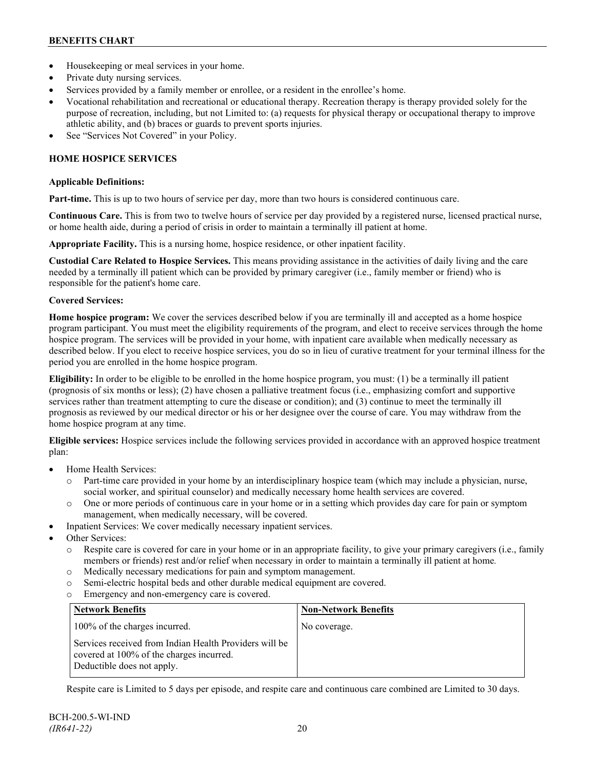- Housekeeping or meal services in your home.
- Private duty nursing services.
- Services provided by a family member or enrollee, or a resident in the enrollee's home.
- Vocational rehabilitation and recreational or educational therapy. Recreation therapy is therapy provided solely for the purpose of recreation, including, but not Limited to: (a) requests for physical therapy or occupational therapy to improve athletic ability, and (b) braces or guards to prevent sports injuries.
- See "Services Not Covered" in your Policy.

## **HOME HOSPICE SERVICES**

## **Applicable Definitions:**

**Part-time.** This is up to two hours of service per day, more than two hours is considered continuous care.

**Continuous Care.** This is from two to twelve hours of service per day provided by a registered nurse, licensed practical nurse, or home health aide, during a period of crisis in order to maintain a terminally ill patient at home.

**Appropriate Facility.** This is a nursing home, hospice residence, or other inpatient facility.

**Custodial Care Related to Hospice Services.** This means providing assistance in the activities of daily living and the care needed by a terminally ill patient which can be provided by primary caregiver (i.e., family member or friend) who is responsible for the patient's home care.

## **Covered Services:**

**Home hospice program:** We cover the services described below if you are terminally ill and accepted as a home hospice program participant. You must meet the eligibility requirements of the program, and elect to receive services through the home hospice program. The services will be provided in your home, with inpatient care available when medically necessary as described below. If you elect to receive hospice services, you do so in lieu of curative treatment for your terminal illness for the period you are enrolled in the home hospice program.

**Eligibility:** In order to be eligible to be enrolled in the home hospice program, you must: (1) be a terminally ill patient (prognosis of six months or less); (2) have chosen a palliative treatment focus (i.e., emphasizing comfort and supportive services rather than treatment attempting to cure the disease or condition); and (3) continue to meet the terminally ill prognosis as reviewed by our medical director or his or her designee over the course of care. You may withdraw from the home hospice program at any time.

**Eligible services:** Hospice services include the following services provided in accordance with an approved hospice treatment plan:

- Home Health Services:
	- o Part-time care provided in your home by an interdisciplinary hospice team (which may include a physician, nurse, social worker, and spiritual counselor) and medically necessary home health services are covered.
	- o One or more periods of continuous care in your home or in a setting which provides day care for pain or symptom management, when medically necessary, will be covered.
- Inpatient Services: We cover medically necessary inpatient services.
- Other Services:
	- o Respite care is covered for care in your home or in an appropriate facility, to give your primary caregivers (i.e., family members or friends) rest and/or relief when necessary in order to maintain a terminally ill patient at home*.*
	- o Medically necessary medications for pain and symptom management.
	- o Semi-electric hospital beds and other durable medical equipment are covered.
	- o Emergency and non-emergency care is covered.

| <b>Network Benefits</b>                                                                                                          | <b>Non-Network Benefits</b> |
|----------------------------------------------------------------------------------------------------------------------------------|-----------------------------|
| 100% of the charges incurred.                                                                                                    | No coverage.                |
| Services received from Indian Health Providers will be<br>covered at 100% of the charges incurred.<br>Deductible does not apply. |                             |

Respite care is Limited to 5 days per episode, and respite care and continuous care combined are Limited to 30 days.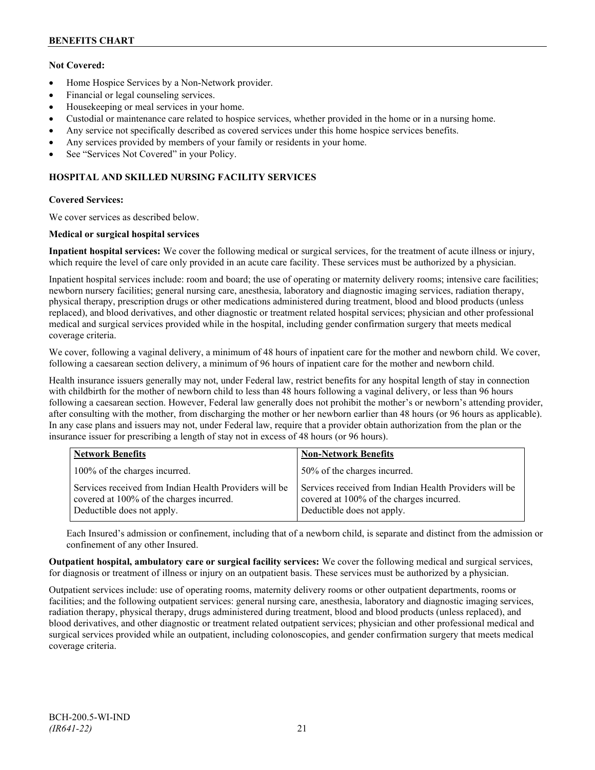## **Not Covered:**

- Home Hospice Services by a Non-Network provider.
- Financial or legal counseling services.
- Housekeeping or meal services in your home.
- Custodial or maintenance care related to hospice services, whether provided in the home or in a nursing home.
- Any service not specifically described as covered services under this home hospice services benefits.
- Any services provided by members of your family or residents in your home.
- See "Services Not Covered" in your Policy.

## **HOSPITAL AND SKILLED NURSING FACILITY SERVICES**

#### **Covered Services:**

We cover services as described below.

#### **Medical or surgical hospital services**

**Inpatient hospital services:** We cover the following medical or surgical services, for the treatment of acute illness or injury, which require the level of care only provided in an acute care facility. These services must be authorized by a physician.

Inpatient hospital services include: room and board; the use of operating or maternity delivery rooms; intensive care facilities; newborn nursery facilities; general nursing care, anesthesia, laboratory and diagnostic imaging services, radiation therapy, physical therapy, prescription drugs or other medications administered during treatment, blood and blood products (unless replaced), and blood derivatives, and other diagnostic or treatment related hospital services; physician and other professional medical and surgical services provided while in the hospital, including gender confirmation surgery that meets medical coverage criteria.

We cover, following a vaginal delivery, a minimum of 48 hours of inpatient care for the mother and newborn child. We cover, following a caesarean section delivery, a minimum of 96 hours of inpatient care for the mother and newborn child.

Health insurance issuers generally may not, under Federal law, restrict benefits for any hospital length of stay in connection with childbirth for the mother of newborn child to less than 48 hours following a vaginal delivery, or less than 96 hours following a caesarean section. However, Federal law generally does not prohibit the mother's or newborn's attending provider, after consulting with the mother, from discharging the mother or her newborn earlier than 48 hours (or 96 hours as applicable). In any case plans and issuers may not, under Federal law, require that a provider obtain authorization from the plan or the insurance issuer for prescribing a length of stay not in excess of 48 hours (or 96 hours).

| <b>Network Benefits</b>                                                                                                          | <b>Non-Network Benefits</b>                                                                                                      |
|----------------------------------------------------------------------------------------------------------------------------------|----------------------------------------------------------------------------------------------------------------------------------|
| 100% of the charges incurred.                                                                                                    | 50% of the charges incurred.                                                                                                     |
| Services received from Indian Health Providers will be<br>covered at 100% of the charges incurred.<br>Deductible does not apply. | Services received from Indian Health Providers will be<br>covered at 100% of the charges incurred.<br>Deductible does not apply. |

Each Insured's admission or confinement, including that of a newborn child, is separate and distinct from the admission or confinement of any other Insured.

**Outpatient hospital, ambulatory care or surgical facility services:** We cover the following medical and surgical services, for diagnosis or treatment of illness or injury on an outpatient basis. These services must be authorized by a physician.

Outpatient services include: use of operating rooms, maternity delivery rooms or other outpatient departments, rooms or facilities; and the following outpatient services: general nursing care, anesthesia, laboratory and diagnostic imaging services, radiation therapy, physical therapy, drugs administered during treatment, blood and blood products (unless replaced), and blood derivatives, and other diagnostic or treatment related outpatient services; physician and other professional medical and surgical services provided while an outpatient, including colonoscopies, and gender confirmation surgery that meets medical coverage criteria.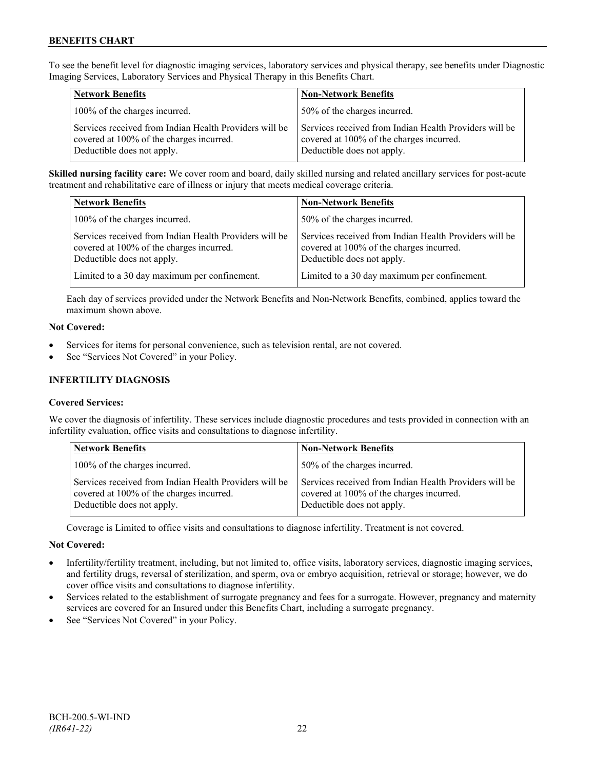To see the benefit level for diagnostic imaging services, laboratory services and physical therapy, see benefits under Diagnostic Imaging Services, Laboratory Services and Physical Therapy in this Benefits Chart.

| <b>Network Benefits</b>                                                                                                          | <b>Non-Network Benefits</b>                                                                                                      |
|----------------------------------------------------------------------------------------------------------------------------------|----------------------------------------------------------------------------------------------------------------------------------|
| 100% of the charges incurred.                                                                                                    | 50% of the charges incurred.                                                                                                     |
| Services received from Indian Health Providers will be<br>covered at 100% of the charges incurred.<br>Deductible does not apply. | Services received from Indian Health Providers will be<br>covered at 100% of the charges incurred.<br>Deductible does not apply. |

**Skilled nursing facility care:** We cover room and board, daily skilled nursing and related ancillary services for post-acute treatment and rehabilitative care of illness or injury that meets medical coverage criteria.

| <b>Network Benefits</b>                                                                                                          | <b>Non-Network Benefits</b>                                                                                                      |
|----------------------------------------------------------------------------------------------------------------------------------|----------------------------------------------------------------------------------------------------------------------------------|
| 100% of the charges incurred.                                                                                                    | 50% of the charges incurred.                                                                                                     |
| Services received from Indian Health Providers will be<br>covered at 100% of the charges incurred.<br>Deductible does not apply. | Services received from Indian Health Providers will be<br>covered at 100% of the charges incurred.<br>Deductible does not apply. |
| Limited to a 30 day maximum per confinement.                                                                                     | Limited to a 30 day maximum per confinement.                                                                                     |

Each day of services provided under the Network Benefits and Non-Network Benefits, combined, applies toward the maximum shown above.

## **Not Covered:**

- Services for items for personal convenience, such as television rental, are not covered.
- See "Services Not Covered" in your Policy.

## **INFERTILITY DIAGNOSIS**

## **Covered Services:**

We cover the diagnosis of infertility. These services include diagnostic procedures and tests provided in connection with an infertility evaluation, office visits and consultations to diagnose infertility.

| <b>Network Benefits</b> |                                                                                                                                  | <b>Non-Network Benefits</b>                                                                                                      |
|-------------------------|----------------------------------------------------------------------------------------------------------------------------------|----------------------------------------------------------------------------------------------------------------------------------|
|                         | 100% of the charges incurred.                                                                                                    | 50% of the charges incurred.                                                                                                     |
|                         | Services received from Indian Health Providers will be<br>covered at 100% of the charges incurred.<br>Deductible does not apply. | Services received from Indian Health Providers will be<br>covered at 100% of the charges incurred.<br>Deductible does not apply. |

Coverage is Limited to office visits and consultations to diagnose infertility. Treatment is not covered.

## **Not Covered:**

- Infertility/fertility treatment, including, but not limited to, office visits, laboratory services, diagnostic imaging services, and fertility drugs, reversal of sterilization, and sperm, ova or embryo acquisition, retrieval or storage; however, we do cover office visits and consultations to diagnose infertility.
- Services related to the establishment of surrogate pregnancy and fees for a surrogate. However, pregnancy and maternity services are covered for an Insured under this Benefits Chart, including a surrogate pregnancy.
- See "Services Not Covered" in your Policy.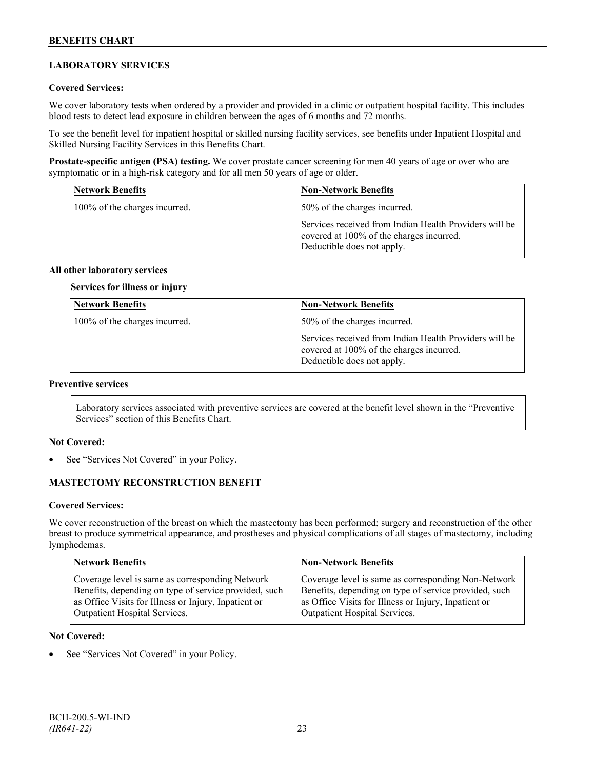## **LABORATORY SERVICES**

## **Covered Services:**

We cover laboratory tests when ordered by a provider and provided in a clinic or outpatient hospital facility. This includes blood tests to detect lead exposure in children between the ages of 6 months and 72 months.

To see the benefit level for inpatient hospital or skilled nursing facility services, see benefits under Inpatient Hospital and Skilled Nursing Facility Services in this Benefits Chart.

**Prostate-specific antigen (PSA) testing.** We cover prostate cancer screening for men 40 years of age or over who are symptomatic or in a high-risk category and for all men 50 years of age or older.

| <b>Network Benefits</b>       | <b>Non-Network Benefits</b>                                                                                                      |
|-------------------------------|----------------------------------------------------------------------------------------------------------------------------------|
| 100% of the charges incurred. | 50% of the charges incurred.                                                                                                     |
|                               | Services received from Indian Health Providers will be<br>covered at 100% of the charges incurred.<br>Deductible does not apply. |

#### **All other laboratory services**

**Services for illness or injury**

| <b>Network Benefits</b>       | <b>Non-Network Benefits</b>                                                                                                      |
|-------------------------------|----------------------------------------------------------------------------------------------------------------------------------|
| 100% of the charges incurred. | 50% of the charges incurred.                                                                                                     |
|                               | Services received from Indian Health Providers will be<br>covered at 100% of the charges incurred.<br>Deductible does not apply. |

## **Preventive services**

Laboratory services associated with preventive services are covered at the benefit level shown in the "Preventive Services" section of this Benefits Chart.

#### **Not Covered:**

See "Services Not Covered" in your Policy.

## **MASTECTOMY RECONSTRUCTION BENEFIT**

#### **Covered Services:**

We cover reconstruction of the breast on which the mastectomy has been performed; surgery and reconstruction of the other breast to produce symmetrical appearance, and prostheses and physical complications of all stages of mastectomy, including lymphedemas.

| <b>Network Benefits</b>                               | <b>Non-Network Benefits</b>                           |
|-------------------------------------------------------|-------------------------------------------------------|
| Coverage level is same as corresponding Network       | Coverage level is same as corresponding Non-Network   |
| Benefits, depending on type of service provided, such | Benefits, depending on type of service provided, such |
| as Office Visits for Illness or Injury, Inpatient or  | as Office Visits for Illness or Injury, Inpatient or  |
| <b>Outpatient Hospital Services.</b>                  | Outpatient Hospital Services.                         |

## **Not Covered:**

See "Services Not Covered" in your Policy.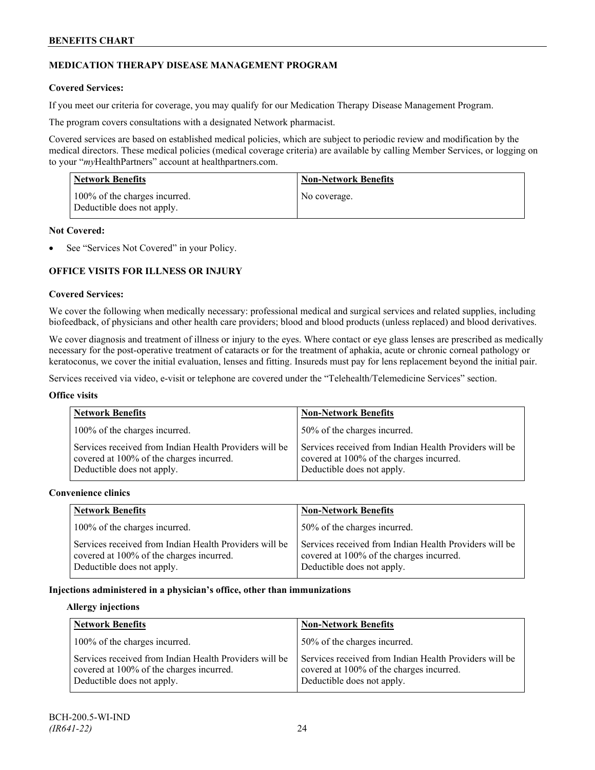## **MEDICATION THERAPY DISEASE MANAGEMENT PROGRAM**

## **Covered Services:**

If you meet our criteria for coverage, you may qualify for our Medication Therapy Disease Management Program.

The program covers consultations with a designated Network pharmacist.

Covered services are based on established medical policies, which are subject to periodic review and modification by the medical directors. These medical policies (medical coverage criteria) are available by calling Member Services, or logging on to your "*my*HealthPartners" account at [healthpartners.com.](http://www.healthpartners.com/)

| <b>Network Benefits</b>                                     | <b>Non-Network Benefits</b> |
|-------------------------------------------------------------|-----------------------------|
| 100% of the charges incurred.<br>Deductible does not apply. | No coverage.                |

#### **Not Covered:**

See "Services Not Covered" in your Policy.

## **OFFICE VISITS FOR ILLNESS OR INJURY**

#### **Covered Services:**

We cover the following when medically necessary: professional medical and surgical services and related supplies, including biofeedback, of physicians and other health care providers; blood and blood products (unless replaced) and blood derivatives.

We cover diagnosis and treatment of illness or injury to the eyes. Where contact or eye glass lenses are prescribed as medically necessary for the post-operative treatment of cataracts or for the treatment of aphakia, acute or chronic corneal pathology or keratoconus, we cover the initial evaluation, lenses and fitting. Insureds must pay for lens replacement beyond the initial pair.

Services received via video, e-visit or telephone are covered under the "Telehealth/Telemedicine Services" section.

#### **Office visits**

| <b>Network Benefits</b>                                                                                                          | <b>Non-Network Benefits</b>                                                                                                      |
|----------------------------------------------------------------------------------------------------------------------------------|----------------------------------------------------------------------------------------------------------------------------------|
| 100% of the charges incurred.                                                                                                    | 50% of the charges incurred.                                                                                                     |
| Services received from Indian Health Providers will be<br>covered at 100% of the charges incurred.<br>Deductible does not apply. | Services received from Indian Health Providers will be<br>covered at 100% of the charges incurred.<br>Deductible does not apply. |

#### **Convenience clinics**

| <b>Network Benefits</b>                                                                                                          | <b>Non-Network Benefits</b>                                                                                                      |
|----------------------------------------------------------------------------------------------------------------------------------|----------------------------------------------------------------------------------------------------------------------------------|
| 100% of the charges incurred.                                                                                                    | 50% of the charges incurred.                                                                                                     |
| Services received from Indian Health Providers will be<br>covered at 100% of the charges incurred.<br>Deductible does not apply. | Services received from Indian Health Providers will be<br>covered at 100% of the charges incurred.<br>Deductible does not apply. |

## **Injections administered in a physician's office, other than immunizations**

#### **Allergy injections**

| <b>Network Benefits</b>                                                                                                          | <b>Non-Network Benefits</b>                                                                                                      |
|----------------------------------------------------------------------------------------------------------------------------------|----------------------------------------------------------------------------------------------------------------------------------|
| 100% of the charges incurred.                                                                                                    | 50% of the charges incurred.                                                                                                     |
| Services received from Indian Health Providers will be<br>covered at 100% of the charges incurred.<br>Deductible does not apply. | Services received from Indian Health Providers will be<br>covered at 100% of the charges incurred.<br>Deductible does not apply. |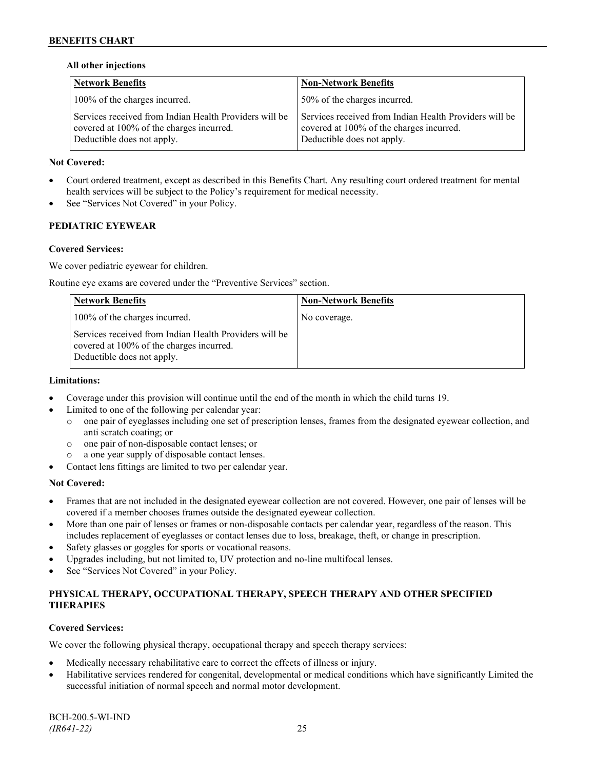## **All other injections**

| <b>Network Benefits</b>                                                                                                          | <b>Non-Network Benefits</b>                                                                                                      |
|----------------------------------------------------------------------------------------------------------------------------------|----------------------------------------------------------------------------------------------------------------------------------|
| 100% of the charges incurred.                                                                                                    | 50% of the charges incurred.                                                                                                     |
| Services received from Indian Health Providers will be<br>covered at 100% of the charges incurred.<br>Deductible does not apply. | Services received from Indian Health Providers will be<br>covered at 100% of the charges incurred.<br>Deductible does not apply. |

## **Not Covered:**

- Court ordered treatment, except as described in this Benefits Chart. Any resulting court ordered treatment for mental health services will be subject to the Policy's requirement for medical necessity.
- See "Services Not Covered" in your Policy.

## **PEDIATRIC EYEWEAR**

## **Covered Services:**

We cover pediatric eyewear for children.

Routine eye exams are covered under the "Preventive Services" section.

| <b>Network Benefits</b>                                                                                                          | <b>Non-Network Benefits</b> |
|----------------------------------------------------------------------------------------------------------------------------------|-----------------------------|
| 100% of the charges incurred.                                                                                                    | No coverage.                |
| Services received from Indian Health Providers will be<br>covered at 100% of the charges incurred.<br>Deductible does not apply. |                             |

## **Limitations:**

- Coverage under this provision will continue until the end of the month in which the child turns 19.
- Limited to one of the following per calendar year:
	- o one pair of eyeglasses including one set of prescription lenses, frames from the designated eyewear collection, and anti scratch coating; or
	- o one pair of non-disposable contact lenses; or
	- a one year supply of disposable contact lenses.
- Contact lens fittings are limited to two per calendar year.

## **Not Covered:**

- Frames that are not included in the designated eyewear collection are not covered. However, one pair of lenses will be covered if a member chooses frames outside the designated eyewear collection.
- More than one pair of lenses or frames or non-disposable contacts per calendar year, regardless of the reason. This includes replacement of eyeglasses or contact lenses due to loss, breakage, theft, or change in prescription.
- Safety glasses or goggles for sports or vocational reasons.
- Upgrades including, but not limited to, UV protection and no-line multifocal lenses.
- See "Services Not Covered" in your Policy.

## **PHYSICAL THERAPY, OCCUPATIONAL THERAPY, SPEECH THERAPY AND OTHER SPECIFIED THERAPIES**

## **Covered Services:**

We cover the following physical therapy, occupational therapy and speech therapy services:

- Medically necessary rehabilitative care to correct the effects of illness or injury.
- Habilitative services rendered for congenital, developmental or medical conditions which have significantly Limited the successful initiation of normal speech and normal motor development.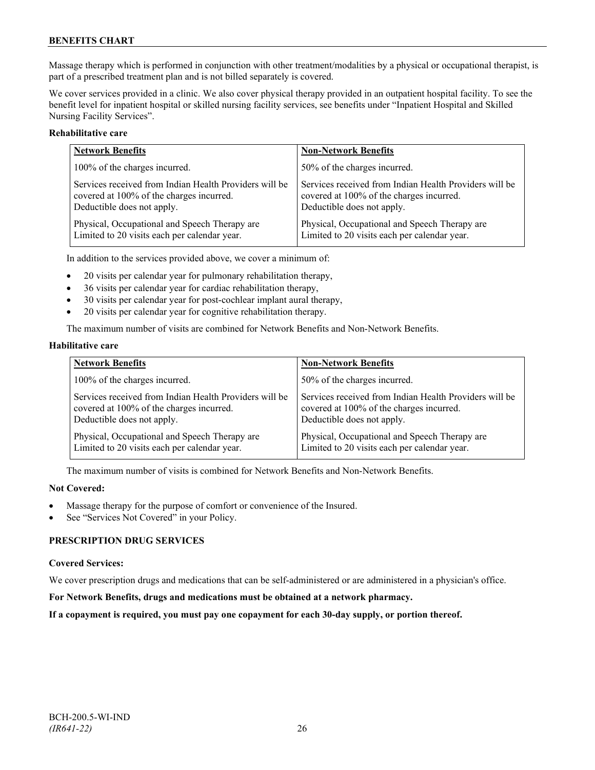Massage therapy which is performed in conjunction with other treatment/modalities by a physical or occupational therapist, is part of a prescribed treatment plan and is not billed separately is covered.

We cover services provided in a clinic. We also cover physical therapy provided in an outpatient hospital facility. To see the benefit level for inpatient hospital or skilled nursing facility services, see benefits under "Inpatient Hospital and Skilled Nursing Facility Services".

## **Rehabilitative care**

| <b>Network Benefits</b>                                | <b>Non-Network Benefits</b>                            |
|--------------------------------------------------------|--------------------------------------------------------|
| 100% of the charges incurred.                          | 50% of the charges incurred.                           |
| Services received from Indian Health Providers will be | Services received from Indian Health Providers will be |
| covered at 100% of the charges incurred.               | covered at 100% of the charges incurred.               |
| Deductible does not apply.                             | Deductible does not apply.                             |
| Physical, Occupational and Speech Therapy are          | Physical, Occupational and Speech Therapy are          |
| Limited to 20 visits each per calendar year.           | Limited to 20 visits each per calendar year.           |

In addition to the services provided above, we cover a minimum of:

- 20 visits per calendar year for pulmonary rehabilitation therapy,
- 36 visits per calendar year for cardiac rehabilitation therapy,
- 30 visits per calendar year for post-cochlear implant aural therapy,
- 20 visits per calendar year for cognitive rehabilitation therapy.

The maximum number of visits are combined for Network Benefits and Non-Network Benefits.

#### **Habilitative care**

| <b>Network Benefits</b>                                | <b>Non-Network Benefits</b>                            |
|--------------------------------------------------------|--------------------------------------------------------|
| 100% of the charges incurred.                          | 50% of the charges incurred.                           |
| Services received from Indian Health Providers will be | Services received from Indian Health Providers will be |
| covered at 100% of the charges incurred.               | covered at 100% of the charges incurred.               |
| Deductible does not apply.                             | Deductible does not apply.                             |
| Physical, Occupational and Speech Therapy are          | Physical, Occupational and Speech Therapy are          |
| Limited to 20 visits each per calendar year.           | Limited to 20 visits each per calendar year.           |

The maximum number of visits is combined for Network Benefits and Non-Network Benefits.

#### **Not Covered:**

- Massage therapy for the purpose of comfort or convenience of the Insured.
- See "Services Not Covered" in your Policy.

## **PRESCRIPTION DRUG SERVICES**

#### **Covered Services:**

We cover prescription drugs and medications that can be self-administered or are administered in a physician's office.

#### **For Network Benefits, drugs and medications must be obtained at a network pharmacy.**

## **If a copayment is required, you must pay one copayment for each 30-day supply, or portion thereof.**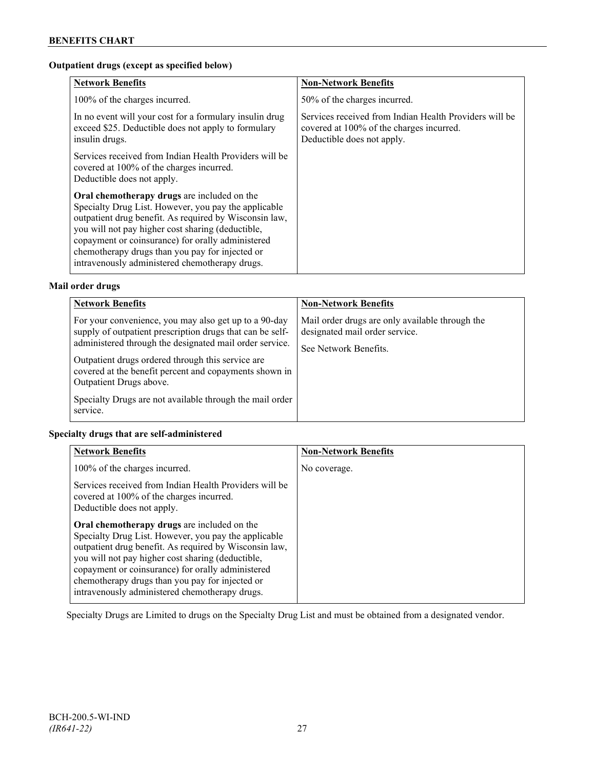## **Outpatient drugs (except as specified below)**

| <b>Network Benefits</b>                                                                                                                                                                                                                                                                                                                                                      | <b>Non-Network Benefits</b>                                                                                                      |
|------------------------------------------------------------------------------------------------------------------------------------------------------------------------------------------------------------------------------------------------------------------------------------------------------------------------------------------------------------------------------|----------------------------------------------------------------------------------------------------------------------------------|
| 100% of the charges incurred.                                                                                                                                                                                                                                                                                                                                                | 50% of the charges incurred.                                                                                                     |
| In no event will your cost for a formulary insulin drug<br>exceed \$25. Deductible does not apply to formulary<br>insulin drugs.                                                                                                                                                                                                                                             | Services received from Indian Health Providers will be<br>covered at 100% of the charges incurred.<br>Deductible does not apply. |
| Services received from Indian Health Providers will be<br>covered at 100% of the charges incurred.<br>Deductible does not apply.                                                                                                                                                                                                                                             |                                                                                                                                  |
| Oral chemotherapy drugs are included on the<br>Specialty Drug List. However, you pay the applicable<br>outpatient drug benefit. As required by Wisconsin law,<br>you will not pay higher cost sharing (deductible,<br>copayment or coinsurance) for orally administered<br>chemotherapy drugs than you pay for injected or<br>intravenously administered chemotherapy drugs. |                                                                                                                                  |

## **Mail order drugs**

| <b>Network Benefits</b>                                                                                                                                                                                                                                                                                                                                                                         | <b>Non-Network Benefits</b>                                                                                |
|-------------------------------------------------------------------------------------------------------------------------------------------------------------------------------------------------------------------------------------------------------------------------------------------------------------------------------------------------------------------------------------------------|------------------------------------------------------------------------------------------------------------|
| For your convenience, you may also get up to a 90-day<br>supply of outpatient prescription drugs that can be self-<br>administered through the designated mail order service.<br>Outpatient drugs ordered through this service are<br>covered at the benefit percent and copayments shown in<br>Outpatient Drugs above.<br>Specialty Drugs are not available through the mail order<br>service. | Mail order drugs are only available through the<br>designated mail order service.<br>See Network Benefits. |

## **Specialty drugs that are self-administered**

| <b>Network Benefits</b>                                                                                                                                                                                                                                                                                                                                                      | <b>Non-Network Benefits</b> |
|------------------------------------------------------------------------------------------------------------------------------------------------------------------------------------------------------------------------------------------------------------------------------------------------------------------------------------------------------------------------------|-----------------------------|
| 100% of the charges incurred.                                                                                                                                                                                                                                                                                                                                                | No coverage.                |
| Services received from Indian Health Providers will be<br>covered at 100% of the charges incurred.<br>Deductible does not apply.                                                                                                                                                                                                                                             |                             |
| Oral chemotherapy drugs are included on the<br>Specialty Drug List. However, you pay the applicable<br>outpatient drug benefit. As required by Wisconsin law,<br>you will not pay higher cost sharing (deductible,<br>copayment or coinsurance) for orally administered<br>chemotherapy drugs than you pay for injected or<br>intravenously administered chemotherapy drugs. |                             |

Specialty Drugs are Limited to drugs on the Specialty Drug List and must be obtained from a designated vendor.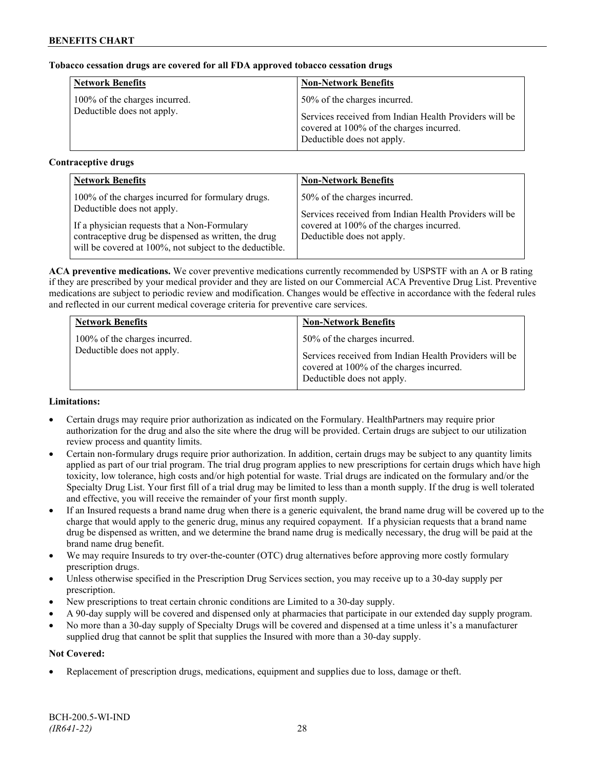## **Tobacco cessation drugs are covered for all FDA approved tobacco cessation drugs**

| <b>Network Benefits</b>       | <b>Non-Network Benefits</b>                                                                                                      |
|-------------------------------|----------------------------------------------------------------------------------------------------------------------------------|
| 100% of the charges incurred. | 50% of the charges incurred.                                                                                                     |
| Deductible does not apply.    | Services received from Indian Health Providers will be<br>covered at 100% of the charges incurred.<br>Deductible does not apply. |

## **Contraceptive drugs**

| <b>Network Benefits</b>                                                                                                                                         | <b>Non-Network Benefits</b>                                                            |
|-----------------------------------------------------------------------------------------------------------------------------------------------------------------|----------------------------------------------------------------------------------------|
| 100% of the charges incurred for formulary drugs.<br>Deductible does not apply.                                                                                 | 50% of the charges incurred.<br>Services received from Indian Health Providers will be |
| If a physician requests that a Non-Formulary<br>contraceptive drug be dispensed as written, the drug<br>will be covered at 100%, not subject to the deductible. | covered at 100% of the charges incurred.<br>Deductible does not apply.                 |

**ACA preventive medications.** We cover preventive medications currently recommended by USPSTF with an A or B rating if they are prescribed by your medical provider and they are listed on our Commercial ACA Preventive Drug List. Preventive medications are subject to periodic review and modification. Changes would be effective in accordance with the federal rules and reflected in our current medical coverage criteria for preventive care services.

| <b>Network Benefits</b>                                     | <b>Non-Network Benefits</b>                                                                                                      |
|-------------------------------------------------------------|----------------------------------------------------------------------------------------------------------------------------------|
| 100% of the charges incurred.<br>Deductible does not apply. | 50% of the charges incurred.                                                                                                     |
|                                                             | Services received from Indian Health Providers will be<br>covered at 100% of the charges incurred.<br>Deductible does not apply. |

## **Limitations:**

- Certain drugs may require prior authorization as indicated on the Formulary. HealthPartners may require prior authorization for the drug and also the site where the drug will be provided. Certain drugs are subject to our utilization review process and quantity limits.
- Certain non-formulary drugs require prior authorization. In addition, certain drugs may be subject to any quantity limits applied as part of our trial program. The trial drug program applies to new prescriptions for certain drugs which have high toxicity, low tolerance, high costs and/or high potential for waste. Trial drugs are indicated on the formulary and/or the Specialty Drug List. Your first fill of a trial drug may be limited to less than a month supply. If the drug is well tolerated and effective, you will receive the remainder of your first month supply.
- If an Insured requests a brand name drug when there is a generic equivalent, the brand name drug will be covered up to the charge that would apply to the generic drug, minus any required copayment. If a physician requests that a brand name drug be dispensed as written, and we determine the brand name drug is medically necessary, the drug will be paid at the brand name drug benefit.
- We may require Insureds to try over-the-counter (OTC) drug alternatives before approving more costly formulary prescription drugs.
- Unless otherwise specified in the Prescription Drug Services section, you may receive up to a 30-day supply per prescription.
- New prescriptions to treat certain chronic conditions are Limited to a 30-day supply.
- A 90-day supply will be covered and dispensed only at pharmacies that participate in our extended day supply program.
- No more than a 30-day supply of Specialty Drugs will be covered and dispensed at a time unless it's a manufacturer supplied drug that cannot be split that supplies the Insured with more than a 30-day supply.

## **Not Covered:**

• Replacement of prescription drugs, medications, equipment and supplies due to loss, damage or theft.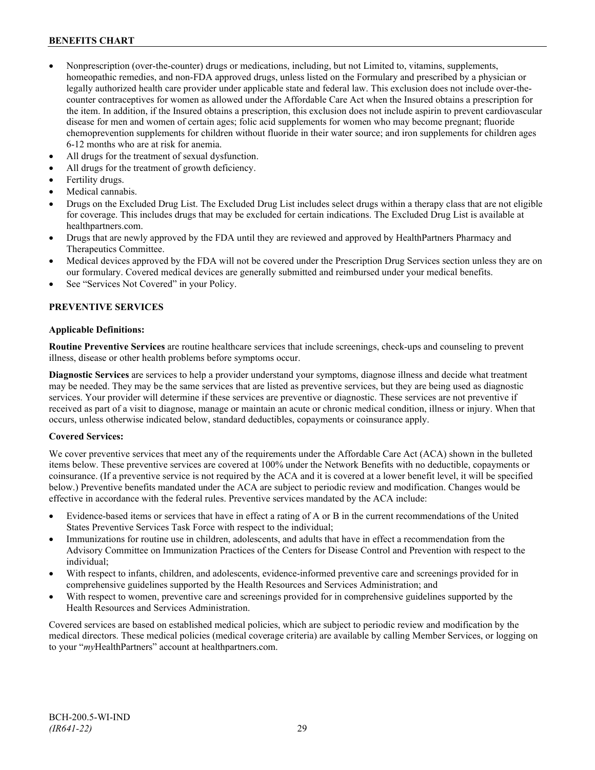- Nonprescription (over-the-counter) drugs or medications, including, but not Limited to, vitamins, supplements, homeopathic remedies, and non-FDA approved drugs, unless listed on the Formulary and prescribed by a physician or legally authorized health care provider under applicable state and federal law. This exclusion does not include over-thecounter contraceptives for women as allowed under the Affordable Care Act when the Insured obtains a prescription for the item. In addition, if the Insured obtains a prescription, this exclusion does not include aspirin to prevent cardiovascular disease for men and women of certain ages; folic acid supplements for women who may become pregnant; fluoride chemoprevention supplements for children without fluoride in their water source; and iron supplements for children ages 6-12 months who are at risk for anemia.
- All drugs for the treatment of sexual dysfunction.
- All drugs for the treatment of growth deficiency.
- Fertility drugs.
- Medical cannabis.
- Drugs on the Excluded Drug List. The Excluded Drug List includes select drugs within a therapy class that are not eligible for coverage. This includes drugs that may be excluded for certain indications. The Excluded Drug List is available at [healthpartners.com.](http://www.healthpartners.com/)
- Drugs that are newly approved by the FDA until they are reviewed and approved by HealthPartners Pharmacy and Therapeutics Committee.
- Medical devices approved by the FDA will not be covered under the Prescription Drug Services section unless they are on our formulary. Covered medical devices are generally submitted and reimbursed under your medical benefits.
- See "Services Not Covered" in your Policy.

## **PREVENTIVE SERVICES**

#### **Applicable Definitions:**

**Routine Preventive Services** are routine healthcare services that include screenings, check-ups and counseling to prevent illness, disease or other health problems before symptoms occur.

**Diagnostic Services** are services to help a provider understand your symptoms, diagnose illness and decide what treatment may be needed. They may be the same services that are listed as preventive services, but they are being used as diagnostic services. Your provider will determine if these services are preventive or diagnostic. These services are not preventive if received as part of a visit to diagnose, manage or maintain an acute or chronic medical condition, illness or injury. When that occurs, unless otherwise indicated below, standard deductibles, copayments or coinsurance apply.

## **Covered Services:**

We cover preventive services that meet any of the requirements under the Affordable Care Act (ACA) shown in the bulleted items below. These preventive services are covered at 100% under the Network Benefits with no deductible, copayments or coinsurance. (If a preventive service is not required by the ACA and it is covered at a lower benefit level, it will be specified below.) Preventive benefits mandated under the ACA are subject to periodic review and modification. Changes would be effective in accordance with the federal rules. Preventive services mandated by the ACA include:

- Evidence-based items or services that have in effect a rating of A or B in the current recommendations of the United States Preventive Services Task Force with respect to the individual;
- Immunizations for routine use in children, adolescents, and adults that have in effect a recommendation from the Advisory Committee on Immunization Practices of the Centers for Disease Control and Prevention with respect to the individual;
- With respect to infants, children, and adolescents, evidence-informed preventive care and screenings provided for in comprehensive guidelines supported by the Health Resources and Services Administration; and
- With respect to women, preventive care and screenings provided for in comprehensive guidelines supported by the Health Resources and Services Administration.

Covered services are based on established medical policies, which are subject to periodic review and modification by the medical directors. These medical policies (medical coverage criteria) are available by calling Member Services, or logging on to your "*my*HealthPartners" account at [healthpartners.com.](http://www.healthpartners.com/)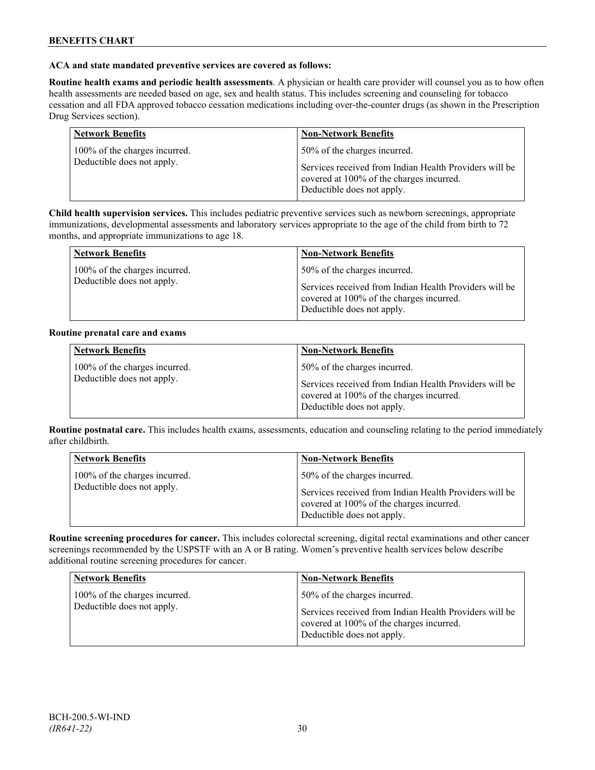## **ACA and state mandated preventive services are covered as follows:**

**Routine health exams and periodic health assessments**. A physician or health care provider will counsel you as to how often health assessments are needed based on age, sex and health status. This includes screening and counseling for tobacco cessation and all FDA approved tobacco cessation medications including over-the-counter drugs (as shown in the Prescription Drug Services section).

| <b>Network Benefits</b>       | <b>Non-Network Benefits</b>                                                                                                      |
|-------------------------------|----------------------------------------------------------------------------------------------------------------------------------|
| 100% of the charges incurred. | 50% of the charges incurred.                                                                                                     |
| Deductible does not apply.    | Services received from Indian Health Providers will be<br>covered at 100% of the charges incurred.<br>Deductible does not apply. |

**Child health supervision services.** This includes pediatric preventive services such as newborn screenings, appropriate immunizations, developmental assessments and laboratory services appropriate to the age of the child from birth to 72 months, and appropriate immunizations to age 18.

| <b>Network Benefits</b>       | <b>Non-Network Benefits</b>                                                                                                      |
|-------------------------------|----------------------------------------------------------------------------------------------------------------------------------|
| 100% of the charges incurred. | 50% of the charges incurred.                                                                                                     |
| Deductible does not apply.    | Services received from Indian Health Providers will be<br>covered at 100% of the charges incurred.<br>Deductible does not apply. |

#### **Routine prenatal care and exams**

| <b>Network Benefits</b>                                     | <b>Non-Network Benefits</b>                                                                                                                                      |
|-------------------------------------------------------------|------------------------------------------------------------------------------------------------------------------------------------------------------------------|
| 100% of the charges incurred.<br>Deductible does not apply. | 50% of the charges incurred.<br>Services received from Indian Health Providers will be<br>covered at 100% of the charges incurred.<br>Deductible does not apply. |

**Routine postnatal care.** This includes health exams, assessments, education and counseling relating to the period immediately after childbirth.

| <b>Network Benefits</b>                                     | <b>Non-Network Benefits</b>                                                            |
|-------------------------------------------------------------|----------------------------------------------------------------------------------------|
| 100% of the charges incurred.<br>Deductible does not apply. | 50% of the charges incurred.<br>Services received from Indian Health Providers will be |
|                                                             | covered at 100% of the charges incurred.<br>Deductible does not apply.                 |

**Routine screening procedures for cancer.** This includes colorectal screening, digital rectal examinations and other cancer screenings recommended by the USPSTF with an A or B rating. Women's preventive health services below describe additional routine screening procedures for cancer.

| <b>Network Benefits</b>                                     | <b>Non-Network Benefits</b>                                                                                                                                      |
|-------------------------------------------------------------|------------------------------------------------------------------------------------------------------------------------------------------------------------------|
| 100% of the charges incurred.<br>Deductible does not apply. | 50% of the charges incurred.<br>Services received from Indian Health Providers will be<br>covered at 100% of the charges incurred.<br>Deductible does not apply. |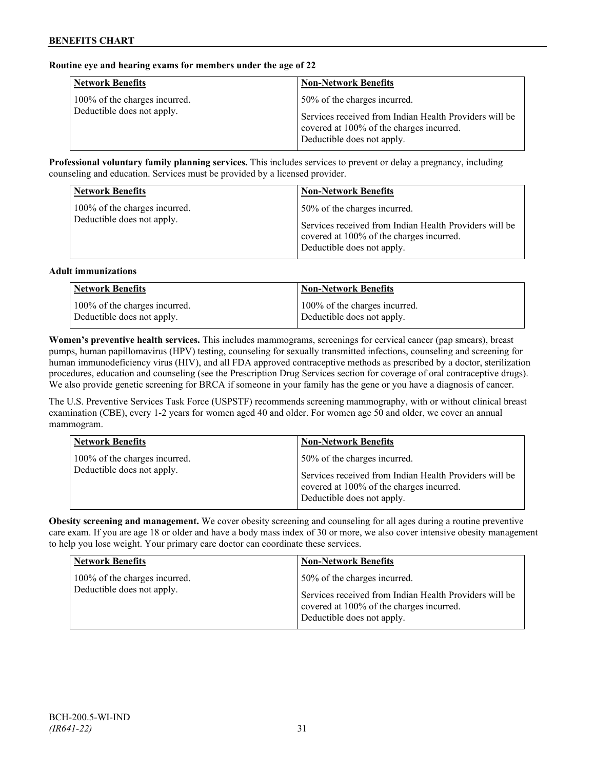## **Routine eye and hearing exams for members under the age of 22**

| <b>Network Benefits</b>       | <b>Non-Network Benefits</b>                                                                                                      |
|-------------------------------|----------------------------------------------------------------------------------------------------------------------------------|
| 100% of the charges incurred. | 50% of the charges incurred.                                                                                                     |
| Deductible does not apply.    | Services received from Indian Health Providers will be<br>covered at 100% of the charges incurred.<br>Deductible does not apply. |

**Professional voluntary family planning services.** This includes services to prevent or delay a pregnancy, including counseling and education. Services must be provided by a licensed provider.

| <b>Network Benefits</b>                                     | <b>Non-Network Benefits</b>                                                                                                                                      |
|-------------------------------------------------------------|------------------------------------------------------------------------------------------------------------------------------------------------------------------|
| 100% of the charges incurred.<br>Deductible does not apply. | 50% of the charges incurred.<br>Services received from Indian Health Providers will be<br>covered at 100% of the charges incurred.<br>Deductible does not apply. |

#### **Adult immunizations**

| <b>Network Benefits</b>       | <b>Non-Network Benefits</b>   |
|-------------------------------|-------------------------------|
| 100% of the charges incurred. | 100% of the charges incurred. |
| Deductible does not apply.    | Deductible does not apply.    |

**Women's preventive health services.** This includes mammograms, screenings for cervical cancer (pap smears), breast pumps, human papillomavirus (HPV) testing, counseling for sexually transmitted infections, counseling and screening for human immunodeficiency virus (HIV), and all FDA approved contraceptive methods as prescribed by a doctor, sterilization procedures, education and counseling (see the Prescription Drug Services section for coverage of oral contraceptive drugs). We also provide genetic screening for BRCA if someone in your family has the gene or you have a diagnosis of cancer.

The U.S. Preventive Services Task Force (USPSTF) recommends screening mammography, with or without clinical breast examination (CBE), every 1-2 years for women aged 40 and older. For women age 50 and older, we cover an annual mammogram.

| <b>Network Benefits</b>                                     | <b>Non-Network Benefits</b>                                                                                                                                      |
|-------------------------------------------------------------|------------------------------------------------------------------------------------------------------------------------------------------------------------------|
| 100% of the charges incurred.<br>Deductible does not apply. | 50% of the charges incurred.<br>Services received from Indian Health Providers will be<br>covered at 100% of the charges incurred.<br>Deductible does not apply. |

**Obesity screening and management.** We cover obesity screening and counseling for all ages during a routine preventive care exam. If you are age 18 or older and have a body mass index of 30 or more, we also cover intensive obesity management to help you lose weight. Your primary care doctor can coordinate these services.

| <b>Network Benefits</b>                                     | <b>Non-Network Benefits</b>                                                                                                                                      |
|-------------------------------------------------------------|------------------------------------------------------------------------------------------------------------------------------------------------------------------|
| 100% of the charges incurred.<br>Deductible does not apply. | 50% of the charges incurred.<br>Services received from Indian Health Providers will be<br>covered at 100% of the charges incurred.<br>Deductible does not apply. |
|                                                             |                                                                                                                                                                  |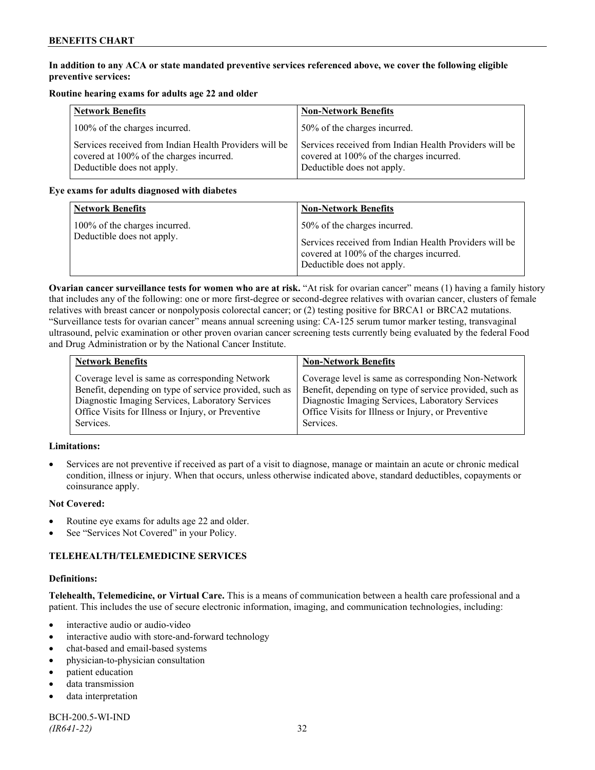## **In addition to any ACA or state mandated preventive services referenced above, we cover the following eligible preventive services:**

## **Routine hearing exams for adults age 22 and older**

| <b>Network Benefits</b>                                                                                                          | <b>Non-Network Benefits</b>                                                                                                      |
|----------------------------------------------------------------------------------------------------------------------------------|----------------------------------------------------------------------------------------------------------------------------------|
| 100% of the charges incurred.                                                                                                    | 50% of the charges incurred.                                                                                                     |
| Services received from Indian Health Providers will be<br>covered at 100% of the charges incurred.<br>Deductible does not apply. | Services received from Indian Health Providers will be<br>covered at 100% of the charges incurred.<br>Deductible does not apply. |

## **Eye exams for adults diagnosed with diabetes**

| <b>Network Benefits</b>                                     | <b>Non-Network Benefits</b>                                                                                                                                      |
|-------------------------------------------------------------|------------------------------------------------------------------------------------------------------------------------------------------------------------------|
| 100% of the charges incurred.<br>Deductible does not apply. | 50% of the charges incurred.<br>Services received from Indian Health Providers will be<br>covered at 100% of the charges incurred.<br>Deductible does not apply. |

**Ovarian cancer surveillance tests for women who are at risk.** "At risk for ovarian cancer" means (1) having a family history that includes any of the following: one or more first-degree or second-degree relatives with ovarian cancer, clusters of female relatives with breast cancer or nonpolyposis colorectal cancer; or (2) testing positive for BRCA1 or BRCA2 mutations. "Surveillance tests for ovarian cancer" means annual screening using: CA-125 serum tumor marker testing, transvaginal ultrasound, pelvic examination or other proven ovarian cancer screening tests currently being evaluated by the federal Food and Drug Administration or by the National Cancer Institute.

| <b>Network Benefits</b>                                 | <b>Non-Network Benefits</b>                             |
|---------------------------------------------------------|---------------------------------------------------------|
| Coverage level is same as corresponding Network         | Coverage level is same as corresponding Non-Network     |
| Benefit, depending on type of service provided, such as | Benefit, depending on type of service provided, such as |
| Diagnostic Imaging Services, Laboratory Services        | Diagnostic Imaging Services, Laboratory Services        |
| Office Visits for Illness or Injury, or Preventive      | Office Visits for Illness or Injury, or Preventive      |
| Services.                                               | Services.                                               |

## **Limitations:**

• Services are not preventive if received as part of a visit to diagnose, manage or maintain an acute or chronic medical condition, illness or injury. When that occurs, unless otherwise indicated above, standard deductibles, copayments or coinsurance apply.

## **Not Covered:**

- Routine eye exams for adults age 22 and older.
- See "Services Not Covered" in your Policy.

## **TELEHEALTH/TELEMEDICINE SERVICES**

#### **Definitions:**

**Telehealth, Telemedicine, or Virtual Care.** This is a means of communication between a health care professional and a patient. This includes the use of secure electronic information, imaging, and communication technologies, including:

- interactive audio or audio-video
- interactive audio with store-and-forward technology
- chat-based and email-based systems
- physician-to-physician consultation
- patient education
- data transmission
- data interpretation

BCH-200.5-WI-IND *(IR641-22)* 32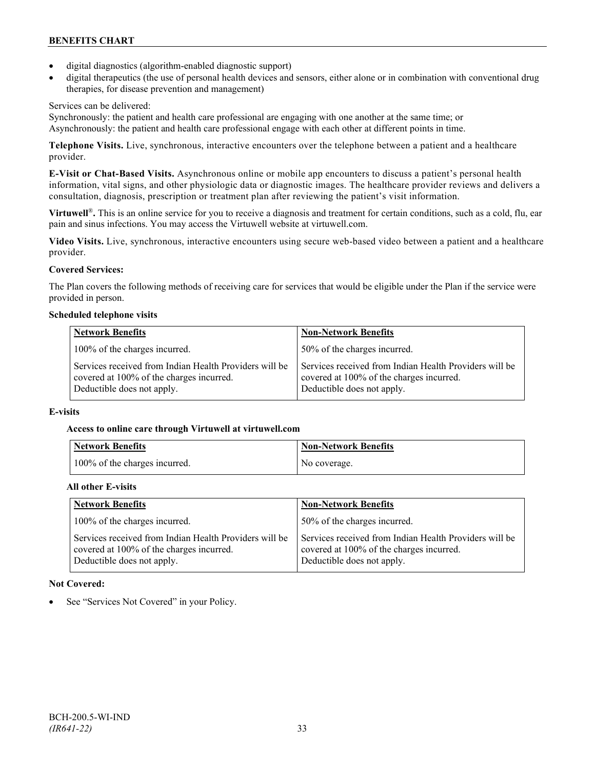- digital diagnostics (algorithm-enabled diagnostic support)
- digital therapeutics (the use of personal health devices and sensors, either alone or in combination with conventional drug therapies, for disease prevention and management)

## Services can be delivered:

Synchronously: the patient and health care professional are engaging with one another at the same time; or Asynchronously: the patient and health care professional engage with each other at different points in time.

**Telephone Visits.** Live, synchronous, interactive encounters over the telephone between a patient and a healthcare provider.

**E-Visit or Chat-Based Visits.** Asynchronous online or mobile app encounters to discuss a patient's personal health information, vital signs, and other physiologic data or diagnostic images. The healthcare provider reviews and delivers a consultation, diagnosis, prescription or treatment plan after reviewing the patient's visit information.

**Virtuwell<sup>®</sup>.** This is an online service for you to receive a diagnosis and treatment for certain conditions, such as a cold, flu, ear pain and sinus infections. You may access the Virtuwell website at [virtuwell.com.](https://www.virtuwell.com/)

**Video Visits.** Live, synchronous, interactive encounters using secure web-based video between a patient and a healthcare provider.

## **Covered Services:**

The Plan covers the following methods of receiving care for services that would be eligible under the Plan if the service were provided in person.

## **Scheduled telephone visits**

| <b>Network Benefits</b>                                                                                                          | <b>Non-Network Benefits</b>                                                                                                      |
|----------------------------------------------------------------------------------------------------------------------------------|----------------------------------------------------------------------------------------------------------------------------------|
| 100% of the charges incurred.                                                                                                    | 50% of the charges incurred.                                                                                                     |
| Services received from Indian Health Providers will be<br>covered at 100% of the charges incurred.<br>Deductible does not apply. | Services received from Indian Health Providers will be<br>covered at 100% of the charges incurred.<br>Deductible does not apply. |

## **E-visits**

## **Access to online care through Virtuwell at [virtuwell.com](http://www.virtuwell.com/)**

| Network Benefits              | <b>Non-Network Benefits</b> |
|-------------------------------|-----------------------------|
| 100% of the charges incurred. | No coverage.                |

## **All other E-visits**

| <b>Network Benefits</b>                                                                                                          | <b>Non-Network Benefits</b>                                                                                                      |
|----------------------------------------------------------------------------------------------------------------------------------|----------------------------------------------------------------------------------------------------------------------------------|
| 100% of the charges incurred.                                                                                                    | 50% of the charges incurred.                                                                                                     |
| Services received from Indian Health Providers will be<br>covered at 100% of the charges incurred.<br>Deductible does not apply. | Services received from Indian Health Providers will be<br>covered at 100% of the charges incurred.<br>Deductible does not apply. |

## **Not Covered:**

See "Services Not Covered" in your Policy.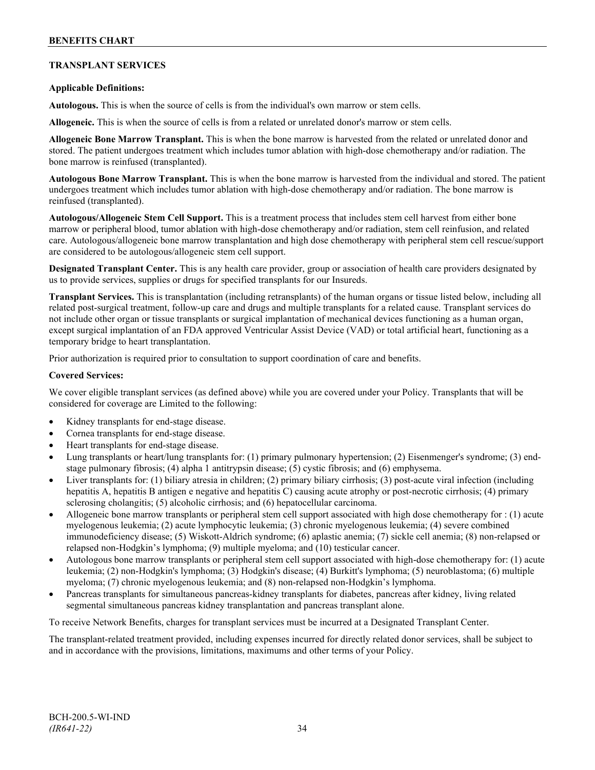## **TRANSPLANT SERVICES**

## **Applicable Definitions:**

**Autologous.** This is when the source of cells is from the individual's own marrow or stem cells.

**Allogeneic.** This is when the source of cells is from a related or unrelated donor's marrow or stem cells.

**Allogeneic Bone Marrow Transplant.** This is when the bone marrow is harvested from the related or unrelated donor and stored. The patient undergoes treatment which includes tumor ablation with high-dose chemotherapy and/or radiation. The bone marrow is reinfused (transplanted).

**Autologous Bone Marrow Transplant.** This is when the bone marrow is harvested from the individual and stored. The patient undergoes treatment which includes tumor ablation with high-dose chemotherapy and/or radiation. The bone marrow is reinfused (transplanted).

**Autologous/Allogeneic Stem Cell Support.** This is a treatment process that includes stem cell harvest from either bone marrow or peripheral blood, tumor ablation with high-dose chemotherapy and/or radiation, stem cell reinfusion, and related care. Autologous/allogeneic bone marrow transplantation and high dose chemotherapy with peripheral stem cell rescue/support are considered to be autologous/allogeneic stem cell support.

**Designated Transplant Center.** This is any health care provider, group or association of health care providers designated by us to provide services, supplies or drugs for specified transplants for our Insureds.

**Transplant Services.** This is transplantation (including retransplants) of the human organs or tissue listed below, including all related post-surgical treatment, follow-up care and drugs and multiple transplants for a related cause. Transplant services do not include other organ or tissue transplants or surgical implantation of mechanical devices functioning as a human organ, except surgical implantation of an FDA approved Ventricular Assist Device (VAD) or total artificial heart, functioning as a temporary bridge to heart transplantation.

Prior authorization is required prior to consultation to support coordination of care and benefits.

#### **Covered Services:**

We cover eligible transplant services (as defined above) while you are covered under your Policy. Transplants that will be considered for coverage are Limited to the following:

- Kidney transplants for end-stage disease.
- Cornea transplants for end-stage disease.
- Heart transplants for end-stage disease.
- Lung transplants or heart/lung transplants for: (1) primary pulmonary hypertension; (2) Eisenmenger's syndrome; (3) endstage pulmonary fibrosis; (4) alpha 1 antitrypsin disease; (5) cystic fibrosis; and (6) emphysema.
- Liver transplants for: (1) biliary atresia in children; (2) primary biliary cirrhosis; (3) post-acute viral infection (including hepatitis A, hepatitis B antigen e negative and hepatitis C) causing acute atrophy or post-necrotic cirrhosis; (4) primary sclerosing cholangitis; (5) alcoholic cirrhosis; and (6) hepatocellular carcinoma.
- Allogeneic bone marrow transplants or peripheral stem cell support associated with high dose chemotherapy for : (1) acute myelogenous leukemia; (2) acute lymphocytic leukemia; (3) chronic myelogenous leukemia; (4) severe combined immunodeficiency disease; (5) Wiskott-Aldrich syndrome; (6) aplastic anemia; (7) sickle cell anemia; (8) non-relapsed or relapsed non-Hodgkin's lymphoma; (9) multiple myeloma; and (10) testicular cancer.
- Autologous bone marrow transplants or peripheral stem cell support associated with high-dose chemotherapy for: (1) acute leukemia; (2) non-Hodgkin's lymphoma; (3) Hodgkin's disease; (4) Burkitt's lymphoma; (5) neuroblastoma; (6) multiple myeloma; (7) chronic myelogenous leukemia; and (8) non-relapsed non-Hodgkin's lymphoma.
- Pancreas transplants for simultaneous pancreas-kidney transplants for diabetes, pancreas after kidney, living related segmental simultaneous pancreas kidney transplantation and pancreas transplant alone.

To receive Network Benefits, charges for transplant services must be incurred at a Designated Transplant Center.

The transplant-related treatment provided, including expenses incurred for directly related donor services, shall be subject to and in accordance with the provisions, limitations, maximums and other terms of your Policy.